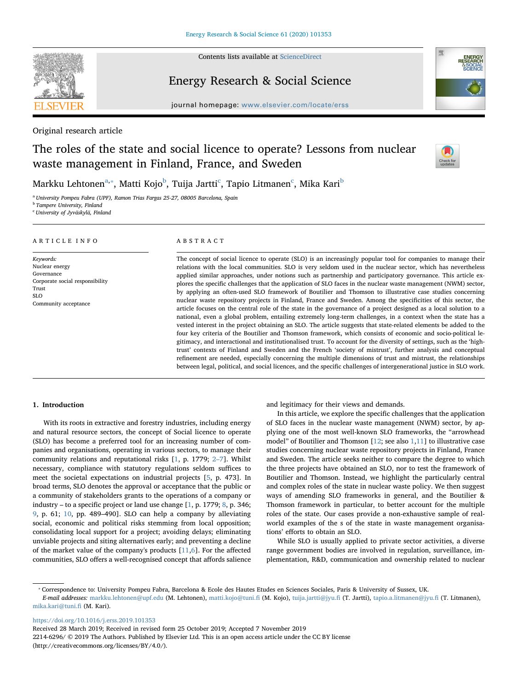

Contents lists available at [ScienceDirect](http://www.sciencedirect.com/science/journal/22146296)

## Energy Research & Social Science



Original research article

# The roles of the state and social licence to operate? Lessons from nuclear waste management in Finland, France, and Sweden



Markku Lehtonen $^{\rm a, *},$  $^{\rm a, *},$  $^{\rm a, *},$  Matti Kojo $^{\rm b}$  $^{\rm b}$  $^{\rm b}$ , Tuija Jartti $^{\rm c}$  $^{\rm c}$  $^{\rm c}$ , Tapio Litmanen $^{\rm c}$ , Mika Kari $^{\rm b}$ 

<span id="page-0-0"></span><sup>a</sup> University Pompeu Fabra (UPF), Ramon Trias Fargas 25-27, 08005 Barcelona, Spain

<span id="page-0-2"></span><sup>b</sup> Tampere University, Finland

<span id="page-0-3"></span><sup>c</sup> University of Jyväskylä, Finland

#### ARTICLE INFO

Keywords: Nuclear energy Governance Corporate social responsibility Trust SLO Community acceptance

#### ABSTRACT

The concept of social licence to operate (SLO) is an increasingly popular tool for companies to manage their relations with the local communities. SLO is very seldom used in the nuclear sector, which has nevertheless applied similar approaches, under notions such as partnership and participatory governance. This article explores the specific challenges that the application of SLO faces in the nuclear waste management (NWM) sector, by applying an often-used SLO framework of Boutilier and Thomson to illustrative case studies concerning nuclear waste repository projects in Finland, France and Sweden. Among the specificities of this sector, the article focuses on the central role of the state in the governance of a project designed as a local solution to a national, even a global problem, entailing extremely long-term challenges, in a context when the state has a vested interest in the project obtaining an SLO. The article suggests that state-related elements be added to the four key criteria of the Boutilier and Thomson framework, which consists of economic and socio-political legitimacy, and interactional and institutionalised trust. To account for the diversity of settings, such as the 'hightrust' contexts of Finland and Sweden and the French 'society of mistrust', further analysis and conceptual refinement are needed, especially concerning the multiple dimensions of trust and mistrust, the relationships between legal, political, and social licences, and the specific challenges of intergenerational justice in SLO work.

#### 1. Introduction

With its roots in extractive and forestry industries, including energy and natural resource sectors, the concept of Social licence to operate (SLO) has become a preferred tool for an increasing number of companies and organisations, operating in various sectors, to manage their community relations and reputational risks [[1](#page-9-0), p. 1779; [2](#page-9-1)–7]. Whilst necessary, compliance with statutory regulations seldom suffices to meet the societal expectations on industrial projects [\[5,](#page-9-2) p. 473]. In broad terms, SLO denotes the approval or acceptance that the public or a community of stakeholders grants to the operations of a company or industry – to a specific project or land use change [[1](#page-9-0), p. 1779; [8,](#page-9-3) p. 346; [9](#page-9-4), p. 61; [10](#page-9-5), pp. 489–490]. SLO can help a company by alleviating social, economic and political risks stemming from local opposition; consolidating local support for a project; avoiding delays; eliminating unviable projects and siting alternatives early; and preventing a decline of the market value of the company's products [[11,](#page-9-6)[6](#page-9-7)]. For the affected communities, SLO offers a well-recognised concept that affords salience and legitimacy for their views and demands.

In this article, we explore the specific challenges that the application of SLO faces in the nuclear waste management (NWM) sector, by applying one of the most well-known SLO frameworks, the "arrowhead model" of Boutilier and Thomson [[12](#page-9-8); see also [1,](#page-9-0)[11\]](#page-9-6) to illustrative case studies concerning nuclear waste repository projects in Finland, France and Sweden. The article seeks neither to compare the degree to which the three projects have obtained an SLO, nor to test the framework of Boutilier and Thomson. Instead, we highlight the particularly central and complex roles of the state in nuclear waste policy. We then suggest ways of amending SLO frameworks in general, and the Boutilier & Thomson framework in particular, to better account for the multiple roles of the state. Our cases provide a non-exhaustive sample of realworld examples of the s of the state in waste management organisations' efforts to obtain an SLO.

While SLO is usually applied to private sector activities, a diverse range government bodies are involved in regulation, surveillance, implementation, R&D, communication and ownership related to nuclear

<https://doi.org/10.1016/j.erss.2019.101353>

Received 28 March 2019; Received in revised form 25 October 2019; Accepted 7 November 2019

2214-6296/ © 2019 The Authors. Published by Elsevier Ltd. This is an open access article under the CC BY license (http://creativecommons.org/licenses/BY/4.0/).

<span id="page-0-1"></span><sup>⁎</sup> Correspondence to: University Pompeu Fabra, Barcelona & Ecole des Hautes Etudes en Sciences Sociales, Paris & University of Sussex, UK.

E-mail addresses: [markku.lehtonen@upf.edu](mailto:markku.lehtonen@upf.edu) (M. Lehtonen), [matti.kojo@tuni.](mailto:matti.kojo@tuni.fi)fi (M. Kojo), [tuija.jartti@jyu.](mailto:tuija.jartti@jyu.fi)fi (T. Jartti), [tapio.a.litmanen@jyu.](mailto:tapio.a.litmanen@jyu.fi)fi (T. Litmanen), [mika.kari@tuni.](mailto:mika.kari@tuni.fi)fi (M. Kari).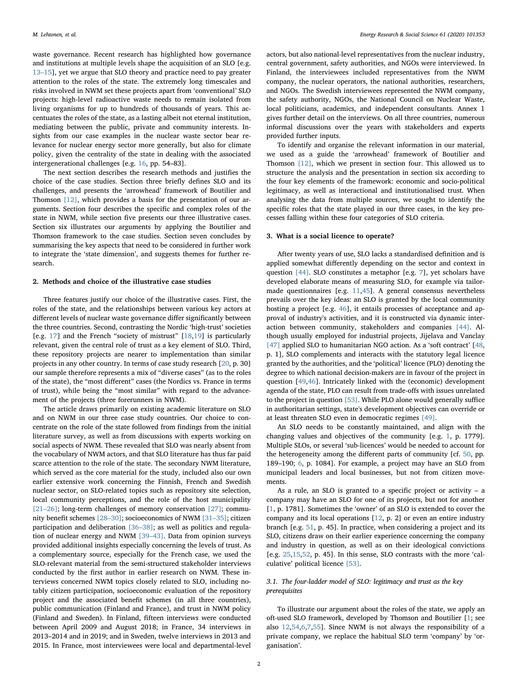waste governance. Recent research has highlighted how governance and institutions at multiple levels shape the acquisition of an SLO [e.g. 13–[15\]](#page-9-9), yet we argue that SLO theory and practice need to pay greater attention to the roles of the state. The extremely long timescales and risks involved in NWM set these projects apart from 'conventional' SLO projects: high-level radioactive waste needs to remain isolated from living organisms for up to hundreds of thousands of years. This accentuates the roles of the state, as a lasting albeit not eternal institution, mediating between the public, private and community interests. Insights from our case examples in the nuclear waste sector bear relevance for nuclear energy sector more generally, but also for climate policy, given the centrality of the state in dealing with the associated intergenerational challenges [e.g. [16,](#page-9-10) pp. 54–83].

The next section describes the research methods and justifies the choice of the case studies. Section three briefly defines SLO and its challenges, and presents the 'arrowhead' framework of Boutilier and Thomson [\[12\],](#page-9-8) which provides a basis for the presentation of our arguments. Section four describes the specific and complex roles of the state in NWM, while section five presents our three illustrative cases. Section six illustrates our arguments by applying the Boutilier and Thomson framework to the case studies. Section seven concludes by summarising the key aspects that need to be considered in further work to integrate the 'state dimension', and suggests themes for further research.

## 2. Methods and choice of the illustrative case studies

Three features justify our choice of the illustrative cases. First, the roles of the state, and the relationships between various key actors at different levels of nuclear waste governance differ significantly between the three countries. Second, contrasting the Nordic 'high-trust' societies [e.g. [17\]](#page-9-11) and the French "society of mistrust" [[18,](#page-9-12)[19\]](#page-9-13) is particularly relevant, given the central role of trust as a key element of SLO. Third, these repository projects are nearer to implementation than similar projects in any other country. In terms of case study research [[20,](#page-9-14) p. 30] our sample therefore represents a mix of "diverse cases" (as to the roles of the state), the "most different" cases (the Nordics vs. France in terms of trust), while being the "most similar" with regard to the advancement of the projects (three forerunners in NWM).

The article draws primarily on existing academic literature on SLO and on NWM in our three case study countries. Our choice to concentrate on the role of the state followed from findings from the initial literature survey, as well as from discussions with experts working on social aspects of NWM. These revealed that SLO was nearly absent from the vocabulary of NWM actors, and that SLO literature has thus far paid scarce attention to the role of the state. The secondary NWM literature, which served as the core material for the study, included also our own earlier extensive work concerning the Finnish, French and Swedish nuclear sector, on SLO-related topics such as repository site selection, local community perceptions, and the role of the host municipality [21–[26\]](#page-9-15); long-term challenges of memory conservation [\[27\];](#page-9-16) community benefit schemes [28–[30\];](#page-9-17) socioeconomics of NWM [\[31](#page-9-18)–35]; citizen participation and deliberation [36–[38\]](#page-9-19); as well as politics and regulation of nuclear energy and NWM [\[39](#page-9-20)–43]. Data from opinion surveys provided additional insights especially concerning the levels of trust. As a complementary source, especially for the French case, we used the SLO-relevant material from the semi-structured stakeholder interviews conducted by the first author in earlier research on NWM. These interviews concerned NWM topics closely related to SLO, including notably citizen participation, socioeconomic evaluation of the repository project and the associated benefit schemes (in all three countries), public communication (Finland and France), and trust in NWM policy (Finland and Sweden). In Finland, fifteen interviews were conducted between April 2009 and August 2018; in France, 34 interviews in 2013–2014 and in 2019; and in Sweden, twelve interviews in 2013 and 2015. In France, most interviewees were local and departmental-level

actors, but also national-level representatives from the nuclear industry, central government, safety authorities, and NGOs were interviewed. In Finland, the interviewees included representatives from the NWM company, the nuclear operators, the national authorities, researchers, and NGOs. The Swedish interviewees represented the NWM company, the safety authority, NGOs, the National Council on Nuclear Waste, local politicians, academics, and independent consultants. Annex 1 gives further detail on the interviews. On all three countries, numerous informal discussions over the years with stakeholders and experts provided further inputs.

To identify and organise the relevant information in our material, we used as a guide the 'arrowhead' framework of Boutilier and Thomson [\[12\]](#page-9-8), which we present in section four. This allowed us to structure the analysis and the presentation in section six according to the four key elements of the framework: economic and socio-political legitimacy, as well as interactional and institutionalised trust. When analysing the data from multiple sources, we sought to identify the specific roles that the state played in our three cases, in the key processes falling within these four categories of SLO criteria.

#### 3. What is a social licence to operate?

After twenty years of use, SLO lacks a standardised definition and is applied somewhat differently depending on the sector and context in question [\[44\]](#page-9-21). SLO constitutes a metaphor [e.g. [7\]](#page-9-22), yet scholars have developed elaborate means of measuring SLO, for example via tailormade questionnaires [e.g. [11](#page-9-6),[45\]](#page-9-23). A general consensus nevertheless prevails over the key ideas: an SLO is granted by the local community hosting a project [e.g. [46\]](#page-9-24), it entails processes of acceptance and approval of industry's activities, and it is constructed via dynamic interaction between community, stakeholders and companies [\[44\]](#page-9-21). Although usually employed for industrial projects, Jijelava and Vanclay [\[47\]](#page-9-25) applied SLO to humanitarian NGO action. As a 'soft contract' [\[48](#page-9-26), p. 1], SLO complements and interacts with the statutory legal licence granted by the authorities, and the 'political' licence (PLO) denoting the degree to which national decision-makers are in favour of the project in question [[49](#page-9-27)[,46](#page-9-24)]. Intricately linked with the (economic) development agenda of the state, PLO can result from trade-offs with issues unrelated to the project in question [\[53\].](#page-9-28) While PLO alone would generally suffice in authoritarian settings, state's development objectives can override or at least threaten SLO even in democratic regimes [\[49\]](#page-9-27).

An SLO needs to be constantly maintained, and align with the changing values and objectives of the community [e.g. [1,](#page-9-0) p. 1779]. Multiple SLOs, or several 'sub-licences' would be needed to account for the heterogeneity among the different parts of community [cf. [50,](#page-9-29) pp. 189–190; [6](#page-9-7), p. 1084]. For example, a project may have an SLO from municipal leaders and local businesses, but not from citizen movements.

As a rule, an SLO is granted to a specific project or activity – a company may have an SLO for one of its projects, but not for another [[1](#page-9-0), p. 1781]. Sometimes the 'owner' of an SLO is extended to cover the company and its local operations [[12,](#page-9-8) p. 2] or even an entire industry branch [e.g. [51](#page-9-0), p. 45]. In practice, when considering a project and its SLO, citizens draw on their earlier experience concerning the company and industry in question, as well as on their ideological convictions [e.g. [25](#page-9-30),[15](#page-9-31),[52,](#page-9-32) p. 45]. In this sense, SLO contrasts with the more 'calculative' political licence [\[53\].](#page-9-28)

## 3.1. The four-ladder model of SLO: legitimacy and trust as the key prerequisites

To illustrate our argument about the roles of the state, we apply an oft-used SLO framework, developed by Thomson and Boutilier [\[1;](#page-9-0) see also [12](#page-9-8)[,54](#page-9-33),[6](#page-9-7)[,7,](#page-9-22)[55](#page-9-34)]. Since NWM is not always the responsibility of a private company, we replace the habitual SLO term 'company' by 'organisation'.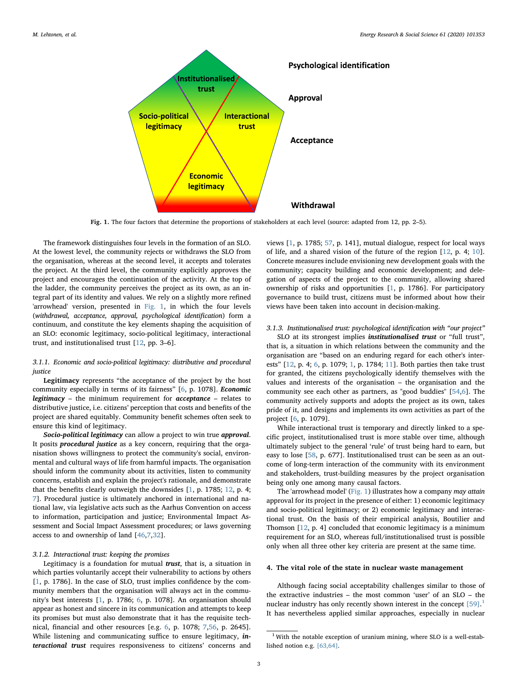<span id="page-2-0"></span>

Fig. 1. The four factors that determine the proportions of stakeholders at each level (source: adapted from 12, pp. 2–5).

The framework distinguishes four levels in the formation of an SLO. At the lowest level, the community rejects or withdraws the SLO from the organisation, whereas at the second level, it accepts and tolerates the project. At the third level, the community explicitly approves the project and encourages the continuation of the activity. At the top of the ladder, the community perceives the project as its own, as an integral part of its identity and values. We rely on a slightly more refined 'arrowhead' version, presented in [Fig. 1,](#page-2-0) in which the four levels (withdrawal, acceptance, approval, psychological identification) form a continuum, and constitute the key elements shaping the acquisition of an SLO: economic legitimacy, socio-political legitimacy, interactional trust, and institutionalised trust [\[12](#page-9-8), pp. 3–6].

#### 3.1.1. Economic and socio-political legitimacy: distributive and procedural justice

Legitimacy represents "the acceptance of the project by the host community especially in terms of its fairness" [\[6,](#page-9-7) p. 1078]. Economic legitimacy – the minimum requirement for acceptance – relates to distributive justice, i.e. citizens' perception that costs and benefits of the project are shared equitably. Community benefit schemes often seek to ensure this kind of legitimacy.

Socio-political legitimacy can allow a project to win true approval. It posits **procedural justice** as a key concern, requiring that the organisation shows willingness to protect the community's social, environmental and cultural ways of life from harmful impacts. The organisation should inform the community about its activities, listen to community concerns, establish and explain the project's rationale, and demonstrate that the benefits clearly outweigh the downsides [\[1,](#page-9-0) p. 1785; [12,](#page-9-8) p. 4; [7](#page-9-22)]. Procedural justice is ultimately anchored in international and national law, via legislative acts such as the Aarhus Convention on access to information, participation and justice; Environmental Impact Assessment and Social Impact Assessment procedures; or laws governing access to and ownership of land [[46,](#page-9-24)[7,](#page-9-22)[32\]](#page-9-35).

#### 3.1.2. Interactional trust: keeping the promises

Legitimacy is a foundation for mutual *trust*, that is, a situation in which parties voluntarily accept their vulnerability to actions by others [[1](#page-9-0), p. 1786]. In the case of SLO, trust implies confidence by the community members that the organisation will always act in the community's best interests [\[1,](#page-9-0) p. 1786; [6,](#page-9-7) p. 1078]. An organisation should appear as honest and sincere in its communication and attempts to keep its promises but must also demonstrate that it has the requisite technical, financial and other resources [e.g. [6,](#page-9-7) p. 1078; [7](#page-9-22)[,56](#page-10-0), p. 2645]. While listening and communicating suffice to ensure legitimacy, interactional trust requires responsiveness to citizens' concerns and views [\[1,](#page-9-0) p. 1785; [57,](#page-10-1) p. 141], mutual dialogue, respect for local ways of life, and a shared vision of the future of the region [\[12](#page-9-8), p. 4; [10](#page-9-5)]. Concrete measures include envisioning new development goals with the community; capacity building and economic development; and delegation of aspects of the project to the community, allowing shared ownership of risks and opportunities [\[1,](#page-9-0) p. 1786]. For participatory governance to build trust, citizens must be informed about how their views have been taken into account in decision-making.

## 3.1.3. Institutionalised trust: psychological identification with "our project"

SLO at its strongest implies *institutionalised trust* or "full trust", that is, a situation in which relations between the community and the organisation are "based on an enduring regard for each other's interests" [\[12](#page-9-8), p. 4; [6,](#page-9-7) p. 1079; [1,](#page-9-0) p. 1784; [11](#page-9-6)]. Both parties then take trust for granted, the citizens psychologically identify themselves with the values and interests of the organisation – the organisation and the community see each other as partners, as "good buddies" [[54](#page-9-33)[,6\]](#page-9-7). The community actively supports and adopts the project as its own, takes pride of it, and designs and implements its own activities as part of the project [\[6,](#page-9-7) p. 1079].

While interactional trust is temporary and directly linked to a specific project, institutionalised trust is more stable over time, although ultimately subject to the general 'rule' of trust being hard to earn, but easy to lose [\[58](#page-10-2), p. 677]. Institutionalised trust can be seen as an outcome of long-term interaction of the community with its environment and stakeholders, trust-building measures by the project organisation being only one among many causal factors.

The 'arrowhead model' ([Fig. 1](#page-2-0)) illustrates how a company may attain approval for its project in the presence of either: 1) economic legitimacy and socio-political legitimacy; or 2) economic legitimacy and interactional trust. On the basis of their empirical analysis, Boutilier and Thomson [[12,](#page-9-8) p. 4] concluded that economic legitimacy is a minimum requirement for an SLO, whereas full/institutionalised trust is possible only when all three other key criteria are present at the same time.

#### 4. The vital role of the state in nuclear waste management

Although facing social acceptability challenges similar to those of the extractive industries – the most common 'user' of an SLO – the nuclear industry has only recently shown interest in the concept [\[59\]](#page-10-3).<sup>[1](#page-2-1)</sup> It has nevertheless applied similar approaches, especially in nuclear

<span id="page-2-1"></span> $1$ <sup>With</sup> the notable exception of uranium mining, where SLO is a well-established notion e.g. [\[63,64\].](#page-10-4)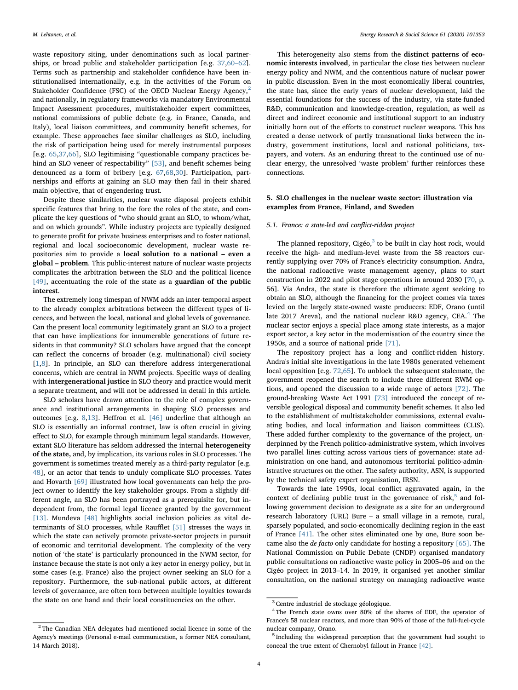waste repository siting, under denominations such as local partnerships, or broad public and stakeholder participation [e.g. [37](#page-9-36)[,60](#page-10-5)–62]. Terms such as partnership and stakeholder confidence have been institutionalised internationally, e.g. in the activities of the Forum on Stakeholder Confidence (FSC) of the OECD Nuclear Energy Agency, $2$ and nationally, in regulatory frameworks via mandatory Environmental Impact Assessment procedures, multistakeholder expert committees, national commissions of public debate (e.g. in France, Canada, and Italy), local liaison committees, and community benefit schemes, for example. These approaches face similar challenges as SLO, including the risk of participation being used for merely instrumental purposes [e.g. [65](#page-10-6),[37,](#page-9-36)[66\]](#page-10-7), SLO legitimising "questionable company practices be-hind an SLO veneer of respectability" [\[53\],](#page-9-28) and benefit schemes being denounced as a form of bribery [e.g. [67](#page-10-8),[68,](#page-10-9)[30\]](#page-9-37). Participation, partnerships and efforts at gaining an SLO may then fail in their shared main objective, that of engendering trust.

Despite these similarities, nuclear waste disposal projects exhibit specific features that bring to the fore the roles of the state, and complicate the key questions of "who should grant an SLO, to whom/what, and on which grounds". While industry projects are typically designed to generate profit for private business enterprises and to foster national, regional and local socioeconomic development, nuclear waste repositories aim to provide a local solution to a national – even a global – problem. This public-interest nature of nuclear waste projects complicates the arbitration between the SLO and the political licence [\[49\]](#page-9-27), accentuating the role of the state as a guardian of the public interest.

The extremely long timespan of NWM adds an inter-temporal aspect to the already complex arbitrations between the different types of licences, and between the local, national and global levels of governance. Can the present local community legitimately grant an SLO to a project that can have implications for innumerable generations of future residents in that community? SLO scholars have argued that the concept can reflect the concerns of broader (e.g. multinational) civil society [[1](#page-9-0),[8](#page-9-3)]. In principle, an SLO can therefore address intergenerational concerns, which are central in NWM projects. Specific ways of dealing with intergenerational justice in SLO theory and practice would merit a separate treatment, and will not be addressed in detail in this article.

<span id="page-3-0"></span>SLO scholars have drawn attention to the role of complex governance and institutional arrangements in shaping SLO processes and outcomes [e.g. [8](#page-9-3),[13\]](#page-9-9). Heffron et al. [\[46\]](#page-9-24) underline that although an SLO is essentially an informal contract, law is often crucial in giving effect to SLO, for example through minimum legal standards. However, extant SLO literature has seldom addressed the internal heterogeneity of the state, and, by implication, its various roles in SLO processes. The government is sometimes treated merely as a third-party regulator [e.g. [48\]](#page-9-26), or an actor that tends to unduly complicate SLO processes. Yates and Hovarth [\[69\]](#page-10-10) illustrated how local governments can help the project owner to identify the key stakeholder groups. From a slightly different angle, an SLO has been portrayed as a prerequisite for, but independent from, the formal legal licence granted by the government [\[13\]](#page-9-9). Mundeva [\[48\]](#page-9-26) highlights social inclusion policies as vital determinants of SLO processes, while Raufflet [\[51\]](#page-9-38) stresses the ways in which the state can actively promote private-sector projects in pursuit of economic and territorial development. The complexity of the very notion of 'the state' is particularly pronounced in the NWM sector, for instance because the state is not only a key actor in energy policy, but in some cases (e.g. France) also the project owner seeking an SLO for a repository. Furthermore, the sub-national public actors, at different levels of governance, are often torn between multiple loyalties towards the state on one hand and their local constituencies on the other.

This heterogeneity also stems from the distinct patterns of economic interests involved, in particular the close ties between nuclear energy policy and NWM, and the contentious nature of nuclear power in public discussion. Even in the most economically liberal countries, the state has, since the early years of nuclear development, laid the essential foundations for the success of the industry, via state-funded R&D, communication and knowledge-creation, regulation, as well as direct and indirect economic and institutional support to an industry initially born out of the efforts to construct nuclear weapons. This has created a dense network of partly transnational links between the industry, government institutions, local and national politicians, taxpayers, and voters. As an enduring threat to the continued use of nuclear energy, the unresolved 'waste problem' further reinforces these connections.

## 5. SLO challenges in the nuclear waste sector: illustration via examples from France, Finland, and Sweden

#### 5.1. France: a state-led and conflict-ridden project

The planned repository, Cigéo, $3$  to be built in clay host rock, would receive the high- and medium-level waste from the 58 reactors currently supplying over 70% of France's electricity consumption. Andra, the national radioactive waste management agency, plans to start construction in 2022 and pilot stage operations in around 2030 [\[70](#page-10-11), p. 56]. Via Andra, the state is therefore the ultimate agent seeking to obtain an SLO, although the financing for the project comes via taxes levied on the largely state-owned waste producers: EDF, Orano (until late 2017 Areva), and the national nuclear R&D agency, CEA.<sup>[4](#page-3-2)</sup> The nuclear sector enjoys a special place among state interests, as a major export sector, a key actor in the modernisation of the country since the 1950s, and a source of national pride [\[71\]](#page-10-12).

The repository project has a long and conflict-ridden history. Andra's initial site investigations in the late 1980s generated vehement local opposition [e.g. [72](#page-10-13),[65\]](#page-10-6). To unblock the subsequent stalemate, the government reopened the search to include three different RWM options, and opened the discussion to a wide range of actors [\[72\].](#page-10-13) The ground-breaking Waste Act 1991 [\[73\]](#page-10-14) introduced the concept of reversible geological disposal and community benefit schemes. It also led to the establishment of multistakeholder commissions, external evaluating bodies, and local information and liaison committees (CLIS). These added further complexity to the governance of the project, underpinned by the French politico-administrative system, which involves two parallel lines cutting across various tiers of governance: state administration on one hand, and autonomous territorial politico-administrative structures on the other. The safety authority, ASN, is supported by the technical safety expert organisation, IRSN.

Towards the late 1990s, local conflict aggravated again, in the context of declining public trust in the governance of risk, $5$  and following government decision to designate as a site for an underground research laboratory (URL) Bure – a small village in a remote, rural, sparsely populated, and socio-economically declining region in the east of France [\[41\]](#page-9-39). The other sites eliminated one by one, Bure soon became also the de facto only candidate for hosting a repository [\[65\].](#page-10-6) The National Commission on Public Debate (CNDP) organised mandatory public consultations on radioactive waste policy in 2005–06 and on the Cigéo project in 2013–14. In 2019, it organised yet another similar consultation, on the national strategy on managing radioactive waste

<span id="page-3-1"></span><sup>3</sup> Centre industriel de stockage géologique.

<span id="page-3-2"></span><sup>&</sup>lt;sup>4</sup> The French state owns over 80% of the shares of EDF, the operator of France's 58 nuclear reactors, and more than 90% of those of the full-fuel-cycle nuclear company, Orano.

<span id="page-3-3"></span><sup>&</sup>lt;sup>5</sup> Including the widespread perception that the government had sought to conceal the true extent of Chernobyl fallout in France [\[42\]](#page-9-40).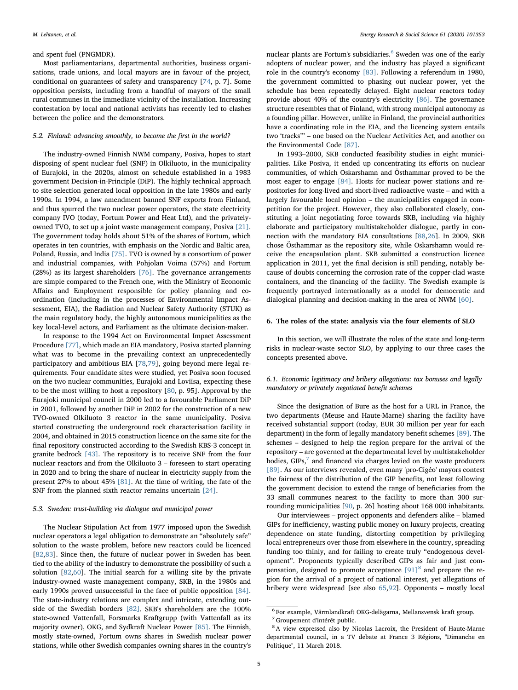#### and spent fuel (PNGMDR).

Most parliamentarians, departmental authorities, business organisations, trade unions, and local mayors are in favour of the project, conditional on guarantees of safety and transparency [\[74](#page-10-15), p. 7]. Some opposition persists, including from a handful of mayors of the small rural communes in the immediate vicinity of the installation. Increasing contestation by local and national activists has recently led to clashes between the police and the demonstrators.

## 5.2. Finland: advancing smoothly, to become the first in the world?

The industry-owned Finnish NWM company, Posiva, hopes to start disposing of spent nuclear fuel (SNF) in Olkiluoto, in the municipality of Eurajoki, in the 2020s, almost on schedule established in a 1983 government Decision-in-Principle (DiP). The highly technical approach to site selection generated local opposition in the late 1980s and early 1990s. In 1994, a law amendment banned SNF exports from Finland, and thus spurred the two nuclear power operators, the state electricity company IVO (today, Fortum Power and Heat Ltd), and the privatelyowned TVO, to set up a joint waste management company, Posiva [\[21\]](#page-9-15). The government today holds about 51% of the shares of Fortum, which operates in ten countries, with emphasis on the Nordic and Baltic area, Poland, Russia, and India [\[75\].](#page-10-16) TVO is owned by a consortium of power and industrial companies, with Pohjolan Voima (57%) and Fortum (28%) as its largest shareholders [\[76\]](#page-10-17). The governance arrangements are simple compared to the French one, with the Ministry of Economic Affairs and Employment responsible for policy planning and coordination (including in the processes of Environmental Impact Assessment, EIA), the Radiation and Nuclear Safety Authority (STUK) as the main regulatory body, the highly autonomous municipalities as the key local-level actors, and Parliament as the ultimate decision-maker.

In response to the 1994 Act on Environmental Impact Assessment Procedure [\[77\],](#page-10-18) which made an EIA mandatory, Posiva started planning what was to become in the prevailing context an unprecedentedly participatory and ambitious EIA [[78,](#page-10-19)[79\]](#page-10-20), going beyond mere legal requirements. Four candidate sites were studied, yet Posiva soon focused on the two nuclear communities, Eurajoki and Loviisa, expecting these to be the most willing to host a repository [\[80](#page-10-21), p. 95]. Approval by the Eurajoki municipal council in 2000 led to a favourable Parliament DiP in 2001, followed by another DiP in 2002 for the construction of a new TVO-owned Olkiluoto 3 reactor in the same municipality. Posiva started constructing the underground rock characterisation facility in 2004, and obtained in 2015 construction licence on the same site for the final repository constructed according to the Swedish KBS-3 concept in granite bedrock [\[43\]](#page-9-41). The repository is to receive SNF from the four nuclear reactors and from the Olkiluoto 3 – foreseen to start operating in 2020 and to bring the share of nuclear in electricity supply from the present 27% to about 45% [\[81\].](#page-10-22) At the time of writing, the fate of the SNF from the planned sixth reactor remains uncertain [\[24\]](#page-9-42).

#### 5.3. Sweden: trust-building via dialogue and municipal power

The Nuclear Stipulation Act from 1977 imposed upon the Swedish nuclear operators a legal obligation to demonstrate an "absolutely safe" solution to the waste problem, before new reactors could be licenced [[82](#page-10-23)[,83](#page-10-24)]. Since then, the future of nuclear power in Sweden has been tied to the ability of the industry to demonstrate the possibility of such a solution [\[82](#page-10-23)[,60](#page-10-5)]. The initial search for a willing site by the private industry-owned waste management company, SKB, in the 1980s and early 1990s proved unsuccessful in the face of public opposition [\[84\]](#page-10-25). The state-industry relations are complex and intricate, extending outside of the Swedish borders [\[82\].](#page-10-23) SKB's shareholders are the 100% state-owned Vattenfall, Forsmarks Kraftgrupp (with Vattenfall as its majority owner), OKG, and Sydkraft Nuclear Power [\[85\].](#page-10-26) The Finnish, mostly state-owned, Fortum owns shares in Swedish nuclear power stations, while other Swedish companies owning shares in the country's nuclear plants are Fortum's subsidiaries.<sup>[6](#page-4-0)</sup> Sweden was one of the early adopters of nuclear power, and the industry has played a significant role in the country's economy [\[83\].](#page-10-24) Following a referendum in 1980, the government committed to phasing out nuclear power, yet the schedule has been repeatedly delayed. Eight nuclear reactors today provide about 40% of the country's electricity [\[86\].](#page-10-27) The governance structure resembles that of Finland, with strong municipal autonomy as a founding pillar. However, unlike in Finland, the provincial authorities have a coordinating role in the EIA, and the licencing system entails two 'tracks'" – one based on the Nuclear Activities Act, and another on the Environmental Code [\[87\]](#page-10-28).

In 1993–2000, SKB conducted feasibility studies in eight municipalities. Like Posiva, it ended up concentrating its efforts on nuclear communities, of which Oskarshamn and Östhammar proved to be the most eager to engage [\[84\].](#page-10-25) Hosts for nuclear power stations and repositories for long-lived and short-lived radioactive waste – and with a largely favourable local opinion – the municipalities engaged in competition for the project. However, they also collaborated closely, constituting a joint negotiating force towards SKB, including via highly elaborate and participatory multistakeholder dialogue, partly in connection with the mandatory EIA consultations [[88,](#page-10-29)[26\]](#page-9-43). In 2009, SKB chose Östhammar as the repository site, while Oskarshamn would receive the encapsulation plant. SKB submitted a construction licence application in 2011, yet the final decision is still pending, notably because of doubts concerning the corrosion rate of the copper-clad waste containers, and the financing of the facility. The Swedish example is frequently portrayed internationally as a model for democratic and dialogical planning and decision-making in the area of NWM [\[60\].](#page-10-5)

#### 6. The roles of the state: analysis via the four elements of SLO

In this section, we will illustrate the roles of the state and long-term risks in nuclear-waste sector SLO, by applying to our three cases the concepts presented above.

## 6.1. Economic legitimacy and bribery allegations: tax bonuses and legally mandatory or privately negotiated benefit schemes

Since the designation of Bure as the host for a URL in France, the two departments (Meuse and Haute-Marne) sharing the facility have received substantial support (today, EUR 30 million per year for each department) in the form of legally mandatory benefit schemes [\[89\]](#page-10-30). The schemes – designed to help the region prepare for the arrival of the repository – are governed at the departmental level by multistakeholder bodies, GIPs,<sup>[7](#page-4-1)</sup> and financed via charges levied on the waste producers [\[89\]](#page-10-30). As our interviews revealed, even many 'pro-Cigéo' mayors contest the fairness of the distribution of the GIP benefits, not least following the government decision to extend the range of beneficiaries from the 33 small communes nearest to the facility to more than 300 surrounding municipalities [[90,](#page-10-31) p. 26] hosting about 168 000 inhabitants.

Our interviewees – project opponents and defenders alike – blamed GIPs for inefficiency, wasting public money on luxury projects, creating dependence on state funding, distorting competition by privileging local entrepreneurs over those from elsewhere in the country, spreading funding too thinly, and for failing to create truly "endogenous development". Proponents typically described GIPs as fair and just compensation, designed to promote acceptance  $[91]$ <sup>[8](#page-4-2)</sup> and prepare the region for the arrival of a project of national interest, yet allegations of bribery were widespread [see also [65](#page-10-6),[92\]](#page-10-33). Opponents – mostly local

<span id="page-4-0"></span><sup>6</sup> For example, Värmlandkraft OKG-delägarna, Mellansvensk kraft group.

<span id="page-4-1"></span><sup>7</sup> Groupement d'intérêt public.

<span id="page-4-2"></span><sup>8</sup> A view expressed also by Nicolas Lacroix, the President of Haute-Marne departmental council, in a TV debate at France 3 Régions, "Dimanche en Politique", 11 March 2018.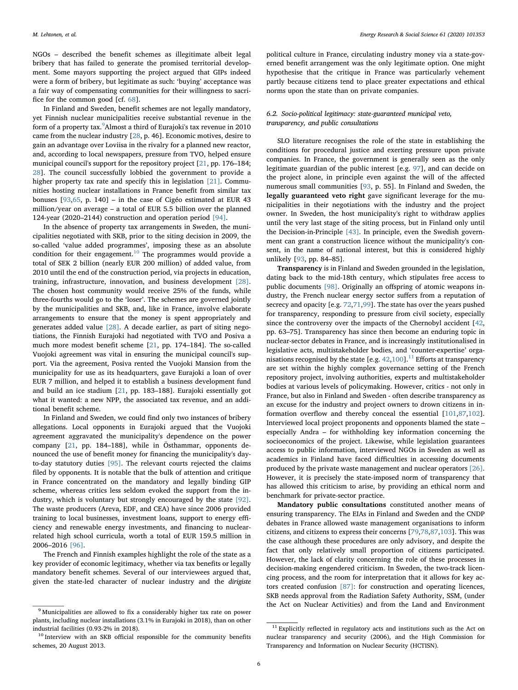NGOs – described the benefit schemes as illegitimate albeit legal bribery that has failed to generate the promised territorial development. Some mayors supporting the project argued that GIPs indeed were a form of bribery, but legitimate as such: 'buying' acceptance was a fair way of compensating communities for their willingness to sacrifice for the common good [cf. [68](#page-10-9)].

In Finland and Sweden, benefit schemes are not legally mandatory, yet Finnish nuclear municipalities receive substantial revenue in the form of a property tax. $^9$  $^9$ Almost a third of Eurajoki's tax revenue in 2010 came from the nuclear industry [\[28](#page-9-0), p. 46]. Economic motives, desire to gain an advantage over Loviisa in the rivalry for a planned new reactor, and, according to local newspapers, pressure from TVO, helped ensure municipal council's support for the repository project [\[21](#page-9-15), pp. 176–184; [28\]](#page-9-0). The council successfully lobbied the government to provide a higher property tax rate and specify this in legislation [\[21\]](#page-9-15). Communities hosting nuclear installations in France benefit from similar tax bonuses [\[93](#page-10-34),[65,](#page-10-6) p. 140] – in the case of Cigéo estimated at EUR 43 million/year on average – a total of EUR 5.5 billion over the planned 124-year (2020–2144) construction and operation period [\[94\].](#page-10-35)

In the absence of property tax arrangements in Sweden, the municipalities negotiated with SKB, prior to the siting decision in 2009, the so-called 'value added programmes', imposing these as an absolute condition for their engagement.<sup>[10](#page-5-1)</sup> The programmes would provide a total of SEK 2 billion (nearly EUR 200 million) of added value, from 2010 until the end of the construction period, via projects in education, training, infrastructure, innovation, and business development [\[28\]](#page-9-17). The chosen host community would receive 25% of the funds, while three-fourths would go to the 'loser'. The schemes are governed jointly by the municipalities and SKB, and, like in France, involve elaborate arrangements to ensure that the money is spent appropriately and generates added value [\[28\]](#page-9-17). A decade earlier, as part of siting negotiations, the Finnish Eurajoki had negotiated with TVO and Posiva a much more modest benefit scheme [[21,](#page-9-15) pp. 174–184]. The so-called Vuojoki agreement was vital in ensuring the municipal council's support. Via the agreement, Posiva rented the Vuojoki Mansion from the municipality for use as its headquarters, gave Eurajoki a loan of over EUR 7 million, and helped it to establish a business development fund and build an ice stadium [[21,](#page-9-15) pp. 183–188]. Eurajoki essentially got what it wanted: a new NPP, the associated tax revenue, and an additional benefit scheme.

In Finland and Sweden, we could find only two instances of bribery allegations. Local opponents in Eurajoki argued that the Vuojoki agreement aggravated the municipality's dependence on the power company [\[21,](#page-9-15) pp. 184–188], while in Östhammar, opponents denounced the use of benefit money for financing the municipality's dayto-day statutory duties [\[95\]](#page-10-36). The relevant courts rejected the claims filed by opponents. It is notable that the bulk of attention and critique in France concentrated on the mandatory and legally binding GIP scheme, whereas critics less seldom evoked the support from the industry, which is voluntary but strongly encouraged by the state [\[92\]](#page-10-33). The waste producers (Areva, EDF, and CEA) have since 2006 provided training to local businesses, investment loans, support to energy efficiency and renewable energy investments, and financing to nuclearrelated high school curricula, worth a total of EUR 159.5 million in 2006–2016 [\[96\].](#page-10-37)

The French and Finnish examples highlight the role of the state as a key provider of economic legitimacy, whether via tax benefits or legally mandatory benefit schemes. Several of our interviewees argued that, given the state-led character of nuclear industry and the dirigiste

political culture in France, circulating industry money via a state-governed benefit arrangement was the only legitimate option. One might hypothesise that the critique in France was particularly vehement partly because citizens tend to place greater expectations and ethical norms upon the state than on private companies.

## 6.2. Socio-political legitimacy: state-guaranteed municipal veto, transparency, and public consultations

SLO literature recognises the role of the state in establishing the conditions for procedural justice and exerting pressure upon private companies. In France, the government is generally seen as the only legitimate guardian of the public interest [e.g. [97\]](#page-10-38), and can decide on the project alone, in principle even against the will of the affected numerous small communities [\[93,](#page-10-34) p. 55]. In Finland and Sweden, the legally guaranteed veto right gave significant leverage for the municipalities in their negotiations with the industry and the project owner. In Sweden, the host municipality's right to withdraw applies until the very last stage of the siting process, but in Finland only until the Decision-in-Principle [\[43\]](#page-9-41). In principle, even the Swedish government can grant a construction licence without the municipality's consent, in the name of national interest, but this is considered highly unlikely [\[93](#page-10-34), pp. 84–85].

Transparency is in Finland and Sweden grounded in the legislation, dating back to the mid-18th century, which stipulates free access to public documents [\[98\]](#page-10-39). Originally an offspring of atomic weapons industry, the French nuclear energy sector suffers from a reputation of secrecy and opacity [e.g. [72](#page-10-13)[,71](#page-10-12)[,99](#page-10-40)]. The state has over the years pushed for transparency, responding to pressure from civil society, especially since the controversy over the impacts of the Chernobyl accident [\[42](#page-9-40), pp. 63–75]. Transparency has since then become an enduring topic in nuclear-sector debates in France, and is increasingly institutionalised in legislative acts, multistakeholder bodies, and 'counter-expertise' organisations recognised by the state [e.g.  $42,100$  $42,100$  $42,100$ ].<sup>[11](#page-5-2)</sup> Efforts at transparency are set within the highly complex governance setting of the French repository project, involving authorities, experts and multistakeholder bodies at various levels of policymaking. However, critics - not only in France, but also in Finland and Sweden - often describe transparency as an excuse for the industry and project owners to drown citizens in information overflow and thereby conceal the essential [[101](#page-10-42)[,87](#page-10-28),[102](#page-10-43)]. Interviewed local project proponents and opponents blamed the state – especially Andra – for withholding key information concerning the socioeconomics of the project. Likewise, while legislation guarantees access to public information, interviewed NGOs in Sweden as well as academics in Finland have faced difficulties in accessing documents produced by the private waste management and nuclear operators [\[26\]](#page-9-43). However, it is precisely the state-imposed norm of transparency that has allowed this criticism to arise, by providing an ethical norm and benchmark for private-sector practice.

Mandatory public consultations constituted another means of ensuring transparency. The EIAs in Finland and Sweden and the CNDP debates in France allowed waste management organisations to inform citizens, and citizens to express their concerns [[79,](#page-10-20)[78,](#page-10-19)[87](#page-10-28)[,103\]](#page-10-44). This was the case although these procedures are only advisory, and despite the fact that only relatively small proportion of citizens participated. However, the lack of clarity concerning the role of these processes in decision-making engendered criticism. In Sweden, the two-track licencing process, and the room for interpretation that it allows for key actors created confusion [\[87\]:](#page-10-28) for construction and operating licences, SKB needs approval from the Radiation Safety Authority, SSM, (under <sup>9</sup> Municipalities are allowed to fix a considerably higher tax rate on power<br><sup>9</sup> Municipalities are allowed to fix a considerably higher tax rate on power

<span id="page-5-0"></span>plants, including nuclear installations (3.1% in Eurajoki in 2018), than on other industrial facilities (0.93-2% in 2018).

<span id="page-5-1"></span><sup>&</sup>lt;sup>10</sup> Interview with an SKB official responsible for the community benefits schemes, 20 August 2013.

<span id="page-5-2"></span> $^{\rm 11}$  Explicitly reflected in regulatory acts and institutions such as the Act on nuclear transparency and security (2006), and the High Commission for Transparency and Information on Nuclear Security (HCTISN).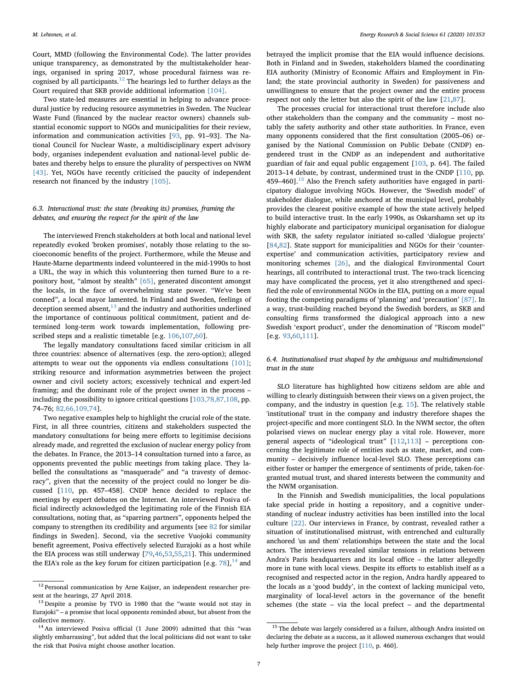Court, MMD (following the Environmental Code). The latter provides unique transparency, as demonstrated by the multistakeholder hearings, organised in spring 2017, whose procedural fairness was recognised by all participants.[12](#page-6-0) The hearings led to further delays as the Court required that SKB provide additional information [\[104\].](#page-10-45)

Two state-led measures are essential in helping to advance procedural justice by reducing resource asymmetries in Sweden. The Nuclear Waste Fund (financed by the nuclear reactor owners) channels substantial economic support to NGOs and municipalities for their review, information and communication activities [[93,](#page-10-34) pp. 91–93]. The National Council for Nuclear Waste, a multidisciplinary expert advisory body, organises independent evaluation and national-level public debates and thereby helps to ensure the plurality of perspectives on NWM [\[43\]](#page-9-41). Yet, NGOs have recently criticised the paucity of independent research not financed by the industry [\[105\]](#page-10-46).

## 6.3. Interactional trust: the state (breaking its) promises, framing the debates, and ensuring the respect for the spirit of the law

The interviewed French stakeholders at both local and national level repeatedly evoked 'broken promises', notably those relating to the socioeconomic benefits of the project. Furthermore, while the Meuse and Haute-Marne departments indeed volunteered in the mid-1990s to host a URL, the way in which this volunteering then turned Bure to a repository host, "almost by stealth" [\[65\],](#page-10-6) generated discontent amongst the locals, in the face of overwhelming state power. "We've been conned", a local mayor lamented. In Finland and Sweden, feelings of deception seemed absent, $13$  and the industry and authorities underlined the importance of continuous political commitment, patient and determined long-term work towards implementation, following pre-scribed steps and a realistic timetable [e.g. [106,](#page-10-47)[107](#page-10-48)[,60](#page-10-5)].

The legally mandatory consultations faced similar criticism in all three countries: absence of alternatives (esp. the zero-option); alleged attempts to wear out the opponents via endless consultations [\[101\]](#page-10-42); striking resource and information asymmetries between the project owner and civil society actors; excessively technical and expert-led framing; and the dominant role of the project owner in the process – including the possibility to ignore critical questions [[103,78,87,108](#page-10-44), pp. 74–76; [82,66,109,74\]](#page-10-28).

Two negative examples help to highlight the crucial role of the state. First, in all three countries, citizens and stakeholders suspected the mandatory consultations for being mere efforts to legitimise decisions already made, and regretted the exclusion of nuclear energy policy from the debates. In France, the 2013–14 consultation turned into a farce, as opponents prevented the public meetings from taking place. They labelled the consultations as "masquerade" and "a travesty of democracy", given that the necessity of the project could no longer be discussed [\[110,](#page-10-49) pp. 457–458]. CNDP hence decided to replace the meetings by expert debates on the Internet. An interviewed Posiva official indirectly acknowledged the legitimating role of the Finnish EIA consultations, noting that, as "sparring partners", opponents helped the company to strengthen its credibility and arguments [see [82](#page-10-23) for similar findings in Sweden]. Second, via the secretive Vuojoki community benefit agreement, Posiva effectively selected Eurajoki as a host while the EIA process was still underway [[79,](#page-10-20)[46](#page-9-24)[,53](#page-9-28)[,55](#page-9-34),[21\]](#page-9-15). This undermined the EIA's role as the key forum for citizen participation [e.g.  $78$ ],  $^{14}$  $^{14}$  $^{14}$  and

betrayed the implicit promise that the EIA would influence decisions. Both in Finland and in Sweden, stakeholders blamed the coordinating EIA authority (Ministry of Economic Affairs and Employment in Finland; the state provincial authority in Sweden) for passiveness and unwillingness to ensure that the project owner and the entire process respect not only the letter but also the spirit of the law [[21,](#page-9-15)[87\]](#page-10-28).

The processes crucial for interactional trust therefore include also other stakeholders than the company and the community – most notably the safety authority and other state authorities. In France, even many opponents considered that the first consultation (2005–06) organised by the National Commission on Public Debate (CNDP) engendered trust in the CNDP as an independent and authoritative guardian of fair and equal public engagement [[103](#page-10-44), p. 64]. The failed 2013–14 debate, by contrast, undermined trust in the CNDP [\[110,](#page-10-49) pp. 459–460]. $15$  Also the French safety authorities have engaged in participatory dialogue involving NGOs. However, the 'Swedish model' of stakeholder dialogue, while anchored at the municipal level, probably provides the clearest positive example of how the state actively helped to build interactive trust. In the early 1990s, as Oskarshamn set up its highly elaborate and participatory municipal organisation for dialogue with SKB, the safety regulator initiated so-called 'dialogue projects' [[84](#page-10-25)[,82](#page-10-23)]. State support for municipalities and NGOs for their 'counterexpertise' and communication activities, participatory review and monitoring schemes [\[26\],](#page-9-43) and the dialogical Environmental Court hearings, all contributed to interactional trust. The two-track licencing may have complicated the process, yet it also strengthened and specified the role of environmental NGOs in the EIA, putting on a more equal footing the competing paradigms of 'planning' and 'precaution' [\[87\]](#page-10-28). In a way, trust-building reached beyond the Swedish borders, as SKB and consulting firms transformed the dialogical approach into a new Swedish 'export product', under the denomination of "Riscom model" [e.g. [93](#page-10-34)[,60](#page-10-5),[111](#page-10-50)].

## 6.4. Institutionalised trust shaped by the ambiguous and multidimensional trust in the state

SLO literature has highlighted how citizens seldom are able and willing to clearly distinguish between their views on a given project, the company, and the industry in question [e.g. [15](#page-9-31)]. The relatively stable 'institutional' trust in the company and industry therefore shapes the project-specific and more contingent SLO. In the NWM sector, the often polarised views on nuclear energy play a vital role. However, more general aspects of "ideological trust" [\[112,](#page-10-51)[113](#page-10-52)] – perceptions concerning the legitimate role of entities such as state, market, and community – decisively influence local-level SLO. These perceptions can either foster or hamper the emergence of sentiments of pride, taken-forgranted mutual trust, and shared interests between the community and the NWM organisation.

In the Finnish and Swedish municipalities, the local populations take special pride in hosting a repository, and a cognitive understanding of nuclear industry activities has been instilled into the local culture [\[22\]](#page-9-44). Our interviews in France, by contrast, revealed rather a situation of institutionalised mistrust, with entrenched and culturally anchored 'us and them' relationships between the state and the local actors. The interviews revealed similar tensions in relations between Andra's Paris headquarters and its local office – the latter allegedly more in tune with local views. Despite its efforts to establish itself as a recognised and respected actor in the region, Andra hardly appeared to the locals as a 'good buddy', in the context of lacking municipal veto, marginality of local-level actors in the governance of the benefit schemes (the state – via the local prefect – and the departmental

<span id="page-6-0"></span><sup>&</sup>lt;sup>12</sup> Personal communication by Arne Kaijser, an independent researcher present at the hearings, 27 April 2018.

<span id="page-6-1"></span><sup>&</sup>lt;sup>13</sup> Despite a promise by TVO in 1980 that the "waste would not stay in Eurajoki" – a promise that local opponents reminded about, but absent from the collective memory.

<span id="page-6-2"></span><sup>&</sup>lt;sup>14</sup> An interviewed Posiva official (1 June 2009) admitted that this "was slightly embarrassing", but added that the local politicians did not want to take the risk that Posiva might choose another location.

<span id="page-6-3"></span> $^{\rm 15}$  The debate was largely considered as a failure, although Andra insisted on declaring the debate as a success, as it allowed numerous exchanges that would help further improve the project [[110](#page-10-49), p. 460].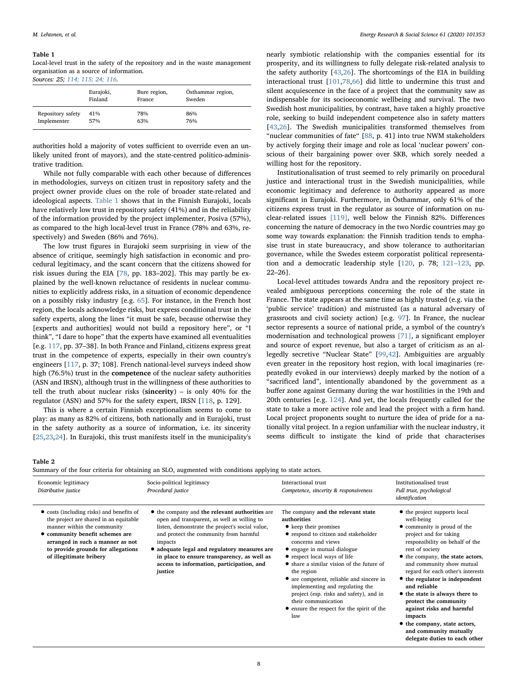#### <span id="page-7-0"></span>Table 1

Local-level trust in the safety of the repository and in the waste management organisation as a source of information. Sources: 25; [114; 115; 24; 116](#page-10-54).

|                   | Eurajoki,<br>Finland | Bure region,<br>France | Östhammar region,<br>Sweden |
|-------------------|----------------------|------------------------|-----------------------------|
| Repository safety | 41%                  | 78%                    | 86%                         |
| Implementer       | 57%                  | 63%                    | 76%                         |

authorities hold a majority of votes sufficient to override even an unlikely united front of mayors), and the state-centred politico-administrative tradition.

While not fully comparable with each other because of differences in methodologies, surveys on citizen trust in repository safety and the project owner provide clues on the role of broader state-related and ideological aspects. [Table 1](#page-7-0) shows that in the Finnish Eurajoki, locals have relatively low trust in repository safety (41%) and in the reliability of the information provided by the project implementer, Posiva (57%), as compared to the high local-level trust in France (78% and 63%, respectively) and Sweden (86% and 76%).

The low trust figures in Eurajoki seem surprising in view of the absence of critique, seemingly high satisfaction in economic and procedural legitimacy, and the scant concern that the citizens showed for risk issues during the EIA [[78](#page-10-19), pp. 183–202]. This may partly be explained by the well-known reluctance of residents in nuclear communities to explicitly address risks, in a situation of economic dependence on a possibly risky industry [e.g. [65\]](#page-10-6). For instance, in the French host region, the locals acknowledge risks, but express conditional trust in the safety experts, along the lines "it must be safe, because otherwise they [experts and authorities] would not build a repository here", or "I think", "I dare to hope" that the experts have examined all eventualities [e.g. [117,](#page-10-53) pp. 37–38]. In both France and Finland, citizens express great trust in the competence of experts, especially in their own country's engineers [[117](#page-10-53), p. 37; 108]. French national-level surveys indeed show high (76.5%) trust in the competence of the nuclear safety authorities (ASN and IRSN), although trust in the willingness of these authorities to tell the truth about nuclear risks (sincerity) – is only 40% for the regulator (ASN) and 57% for the safety expert, IRSN [\[118,](#page-11-0) p. 129].

This is where a certain Finnish exceptionalism seems to come to play: as many as 82% of citizens, both nationally and in Eurajoki, trust in the safety authority as a source of information, i.e. its sincerity [[25](#page-9-30)[,23](#page-9-45)[,24](#page-9-42)]. In Eurajoki, this trust manifests itself in the municipality's nearly symbiotic relationship with the companies essential for its prosperity, and its willingness to fully delegate risk-related analysis to the safety authority [[43](#page-9-41),[26\]](#page-9-43). The shortcomings of the EIA in building interactional trust [\[101,](#page-10-42)[78,](#page-10-19)[66](#page-10-7)] did little to undermine this trust and silent acquiescence in the face of a project that the community saw as indispensable for its socioeconomic wellbeing and survival. The two Swedish host municipalities, by contrast, have taken a highly proactive role, seeking to build independent competence also in safety matters [[43](#page-9-41)[,26](#page-9-43)]. The Swedish municipalities transformed themselves from "nuclear communities of fate" [\[88](#page-10-29), p. 41] into true NWM stakeholders by actively forging their image and role as local 'nuclear powers' conscious of their bargaining power over SKB, which sorely needed a willing host for the repository.

Institutionalisation of trust seemed to rely primarily on procedural justice and interactional trust in the Swedish municipalities, while economic legitimacy and deference to authority appeared as more significant in Eurajoki. Furthermore, in Östhammar, only 61% of the citizens express trust in the regulator as source of information on nuclear-related issues [\[119\],](#page-11-1) well below the Finnish 82%. Differences concerning the nature of democracy in the two Nordic countries may go some way towards explanation: the Finnish tradition tends to emphasise trust in state bureaucracy, and show tolerance to authoritarian governance, while the Swedes esteem corporatist political representation and a democratic leadership style [\[120,](#page-11-2) p. 78; 121–[123,](#page-11-3) pp. 22–26].

Local-level attitudes towards Andra and the repository project revealed ambiguous perceptions concerning the role of the state in France. The state appears at the same time as highly trusted (e.g. via the 'public service' tradition) and mistrusted (as a natural adversary of grassroots and civil society action) [e.g. [97\]](#page-10-38). In France, the nuclear sector represents a source of national pride, a symbol of the country's modernisation and technological prowess [\[71\]](#page-10-12), a significant employer and source of export revenue, but also a target of criticism as an allegedly secretive "Nuclear State" [\[99](#page-10-40)[,42](#page-9-40)]. Ambiguities are arguably even greater in the repository host region, with local imaginaries (repeatedly evoked in our interviews) deeply marked by the notion of a "sacrificed land", intentionally abandoned by the government as a buffer zone against Germany during the war hostilities in the 19th and 20th centuries [e.g. [124\]](#page-11-4). And yet, the locals frequently called for the state to take a more active role and lead the project with a firm hand. Local project proponents sought to nurture the idea of pride for a nationally vital project. In a region unfamiliar with the nuclear industry, it seems difficult to instigate the kind of pride that characterises

#### <span id="page-7-1"></span>Table 2

Summary of the four criteria for obtaining an SLO, augmented with conditions applying to state actors.

| Economic legitimacy<br>Distributive justice                                                                                                                                                                                                                | Socio-political legitimacy<br>Procedural justice                                                                                                                                                                                                                                                                                                             | Interactional trust<br>Competence, sincerity & responsiveness                                                                                                                                                                                                                                                                                                                                                                                                          | Institutionalised trust<br>Full trust, psychological<br>identification                                                                                                                                                                                                                                                                                                                                                                                                                                          |
|------------------------------------------------------------------------------------------------------------------------------------------------------------------------------------------------------------------------------------------------------------|--------------------------------------------------------------------------------------------------------------------------------------------------------------------------------------------------------------------------------------------------------------------------------------------------------------------------------------------------------------|------------------------------------------------------------------------------------------------------------------------------------------------------------------------------------------------------------------------------------------------------------------------------------------------------------------------------------------------------------------------------------------------------------------------------------------------------------------------|-----------------------------------------------------------------------------------------------------------------------------------------------------------------------------------------------------------------------------------------------------------------------------------------------------------------------------------------------------------------------------------------------------------------------------------------------------------------------------------------------------------------|
| • costs (including risks) and benefits of<br>the project are shared in an equitable<br>manner within the community<br>• community benefit schemes are<br>arranged in such a manner as not<br>to provide grounds for allegations<br>of illegitimate bribery | • the company and the relevant authorities are<br>open and transparent, as well as willing to<br>listen, demonstrate the project's social value,<br>and protect the community from harmful<br>impacts<br>• adequate legal and regulatory measures are<br>in place to ensure transparency, as well as<br>access to information, participation, and<br>justice | The company and the relevant state<br>authorities<br>• keep their promises<br>• respond to citizen and stakeholder<br>concerns and views<br>engage in mutual dialogue<br>• respect local ways of life<br>• share a similar vision of the future of<br>the region<br>• are competent, reliable and sincere in<br>implementing and regulating the<br>project (esp. risks and safety), and in<br>their communication<br>• ensure the respect for the spirit of the<br>law | • the project supports local<br>well-being<br>• community is proud of the<br>project and for taking<br>responsibility on behalf of the<br>rest of society<br>• the company, the state actors,<br>and community show mutual<br>regard for each other's interests<br>• the regulator is independent<br>and reliable<br>• the state is always there to<br>protect the community<br>against risks and harmful<br>impacts<br>• the company, state actors,<br>and community mutually<br>delegate duties to each other |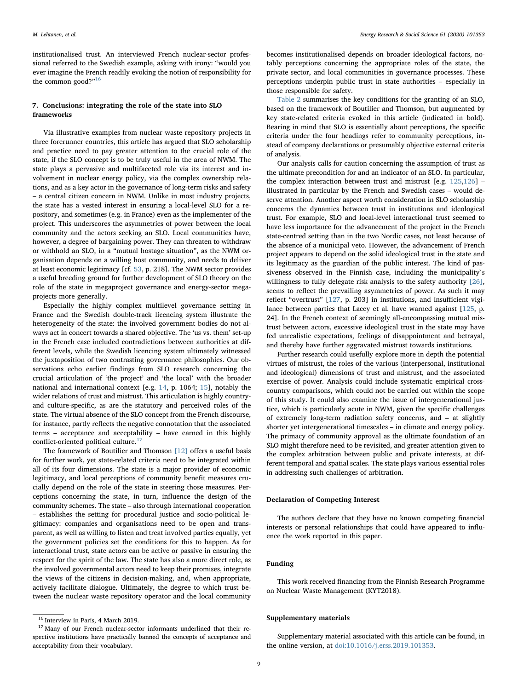institutionalised trust. An interviewed French nuclear-sector professional referred to the Swedish example, asking with irony: "would you ever imagine the French readily evoking the notion of responsibility for the common good?"<sup>[16](#page-8-0)</sup>

#### 7. Conclusions: integrating the role of the state into SLO frameworks

Via illustrative examples from nuclear waste repository projects in three forerunner countries, this article has argued that SLO scholarship and practice need to pay greater attention to the crucial role of the state, if the SLO concept is to be truly useful in the area of NWM. The state plays a pervasive and multifaceted role via its interest and involvement in nuclear energy policy, via the complex ownership relations, and as a key actor in the governance of long-term risks and safety – a central citizen concern in NWM. Unlike in most industry projects, the state has a vested interest in ensuring a local-level SLO for a repository, and sometimes (e.g. in France) even as the implementer of the project. This underscores the asymmetries of power between the local community and the actors seeking an SLO. Local communities have, however, a degree of bargaining power. They can threaten to withdraw or withhold an SLO, in a "mutual hostage situation", as the NWM organisation depends on a willing host community, and needs to deliver at least economic legitimacy [cf. [53,](#page-9-28) p. 218]. The NWM sector provides a useful breeding ground for further development of SLO theory on the role of the state in megaproject governance and energy-sector megaprojects more generally.

Especially the highly complex multilevel governance setting in France and the Swedish double-track licencing system illustrate the heterogeneity of the state: the involved government bodies do not always act in concert towards a shared objective. The 'us vs. them' set-up in the French case included contradictions between authorities at different levels, while the Swedish licencing system ultimately witnessed the juxtaposition of two contrasting governance philosophies. Our observations echo earlier findings from SLO research concerning the crucial articulation of 'the project' and 'the local' with the broader national and international context [e.g. [14,](#page-9-46) p. 1064; [15](#page-9-31)], notably the wider relations of trust and mistrust. This articulation is highly countryand culture-specific, as are the statutory and perceived roles of the state. The virtual absence of the SLO concept from the French discourse, for instance, partly reflects the negative connotation that the associated terms – acceptance and acceptability – have earned in this highly conflict-oriented political culture.<sup>[17](#page-8-1)</sup>

The framework of Boutilier and Thomson [\[12\]](#page-9-8) offers a useful basis for further work, yet state-related criteria need to be integrated within all of its four dimensions. The state is a major provider of economic legitimacy, and local perceptions of community benefit measures crucially depend on the role of the state in steering those measures. Perceptions concerning the state, in turn, influence the design of the community schemes. The state – also through international cooperation – establishes the setting for procedural justice and socio-political legitimacy: companies and organisations need to be open and transparent, as well as willing to listen and treat involved parties equally, yet the government policies set the conditions for this to happen. As for interactional trust, state actors can be active or passive in ensuring the respect for the spirit of the law. The state has also a more direct role, as the involved governmental actors need to keep their promises, integrate the views of the citizens in decision-making, and, when appropriate, actively facilitate dialogue. Ultimately, the degree to which trust between the nuclear waste repository operator and the local community

becomes institutionalised depends on broader ideological factors, notably perceptions concerning the appropriate roles of the state, the private sector, and local communities in governance processes. These perceptions underpin public trust in state authorities – especially in those responsible for safety.

[Table 2](#page-7-1) summarises the key conditions for the granting of an SLO, based on the framework of Boutilier and Thomson, but augmented by key state-related criteria evoked in this article (indicated in bold). Bearing in mind that SLO is essentially about perceptions, the specific criteria under the four headings refer to community perceptions, instead of company declarations or presumably objective external criteria of analysis.

Our analysis calls for caution concerning the assumption of trust as the ultimate precondition for and an indicator of an SLO. In particular, the complex interaction between trust and mistrust [e.g. [125](#page-11-5)[,126\]](#page-11-6) – illustrated in particular by the French and Swedish cases – would deserve attention. Another aspect worth consideration in SLO scholarship concerns the dynamics between trust in institutions and ideological trust. For example, SLO and local-level interactional trust seemed to have less importance for the advancement of the project in the French state-centred setting than in the two Nordic cases, not least because of the absence of a municipal veto. However, the advancement of French project appears to depend on the solid ideological trust in the state and its legitimacy as the guardian of the public interest. The kind of passiveness observed in the Finnish case, including the municipality`s willingness to fully delegate risk analysis to the safety authority [\[26\]](#page-9-43), seems to reflect the prevailing asymmetries of power. As such it may reflect "overtrust" [[127](#page-11-7), p. 203] in institutions, and insufficient vigilance between parties that Lacey et al. have warned against [\[125](#page-11-5), p. 24]. In the French context of seemingly all-encompassing mutual mistrust between actors, excessive ideological trust in the state may have fed unrealistic expectations, feelings of disappointment and betrayal, and thereby have further aggravated mistrust towards institutions.

Further research could usefully explore more in depth the potential virtues of mistrust, the roles of the various (interpersonal, institutional and ideological) dimensions of trust and mistrust, and the associated exercise of power. Analysis could include systematic empirical crosscountry comparisons, which could not be carried out within the scope of this study. It could also examine the issue of intergenerational justice, which is particularly acute in NWM, given the specific challenges of extremely long-term radiation safety concerns, and – at slightly shorter yet intergenerational timescales – in climate and energy policy. The primacy of community approval as the ultimate foundation of an SLO might therefore need to be revisited, and greater attention given to the complex arbitration between public and private interests, at different temporal and spatial scales. The state plays various essential roles in addressing such challenges of arbitration.

#### Declaration of Competing Interest

The authors declare that they have no known competing financial interests or personal relationships that could have appeared to influence the work reported in this paper.

## Funding

This work received financing from the Finnish Research Programme on Nuclear Waste Management (KYT2018).

#### Supplementary materials

Supplementary material associated with this article can be found, in the online version, at [doi:10.1016/j.erss.2019.101353.](https://doi.org/10.1016/j.erss.2019.101353)

<span id="page-8-0"></span><sup>16</sup> Interview in Paris, 4 March 2019.

<span id="page-8-1"></span><sup>&</sup>lt;sup>17</sup> Many of our French nuclear-sector informants underlined that their respective institutions have practically banned the concepts of acceptance and acceptability from their vocabulary.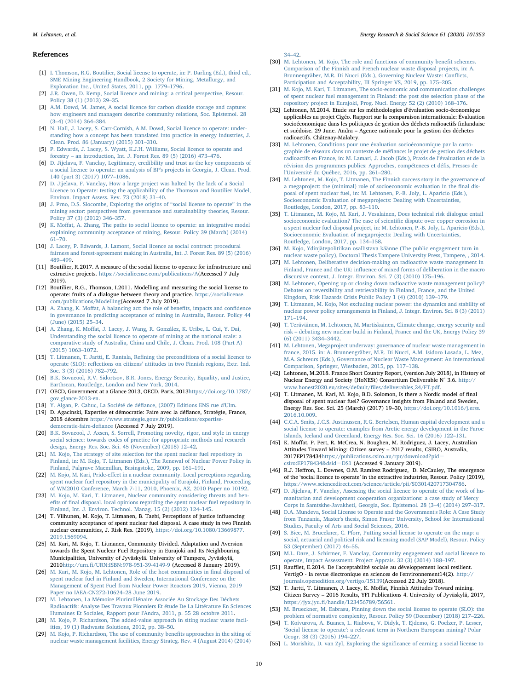#### References

- <span id="page-9-0"></span>[1] [I. Thomson, R.G. Boutilier, Social license to operate, in: P. Darling \(Ed.\), third ed.,](http://refhub.elsevier.com/S2214-6296(19)30297-X/sbref0001) [SME Mining Engineering Handbook, 2 Society for Mining, Metallurgy, and](http://refhub.elsevier.com/S2214-6296(19)30297-X/sbref0001) [Exploration Inc., United States, 2011, pp. 1779](http://refhub.elsevier.com/S2214-6296(19)30297-X/sbref0001)–1796.
- <span id="page-9-1"></span>[2] [J.R. Owen, D. Kemp, Social licence and mining: a critical perspective, Resour.](http://refhub.elsevier.com/S2214-6296(19)30297-X/sbref0002) [Policy 38 \(1\) \(2013\) 29](http://refhub.elsevier.com/S2214-6296(19)30297-X/sbref0002)–35.
- [3] [A.M. Dowd, M. James, A social licence for carbon dioxide storage and capture:](http://refhub.elsevier.com/S2214-6296(19)30297-X/sbref0003) [how engineers and managers describe community relations, Soc. Epistemol. 28](http://refhub.elsevier.com/S2214-6296(19)30297-X/sbref0003) (3–[4\) \(2014\) 364](http://refhub.elsevier.com/S2214-6296(19)30297-X/sbref0003)–384.
- [4] [N. Hall, J. Lacey, S. Carr-Cornish, A.M. Dowd, Social licence to operate: under](http://refhub.elsevier.com/S2214-6296(19)30297-X/sbref0004)[standing how a concept has been translated into practice in energy industries, J.](http://refhub.elsevier.com/S2214-6296(19)30297-X/sbref0004) [Clean. Prod. 86 \(January\) \(2015\) 301](http://refhub.elsevier.com/S2214-6296(19)30297-X/sbref0004)–310.
- <span id="page-9-2"></span>[5] [P. Edwards, J. Lacey, S. Wyatt, K.J.H. Williams, Social licence to operate and](http://refhub.elsevier.com/S2214-6296(19)30297-X/sbref0005) forestry – [an introduction, Int. J. Forest Res. 89 \(5\) \(2016\) 473](http://refhub.elsevier.com/S2214-6296(19)30297-X/sbref0005)–476.
- <span id="page-9-7"></span>[6] [D. Jijelava, F. Vanclay, Legitimacy, credibility and trust as the key components of](http://refhub.elsevier.com/S2214-6296(19)30297-X/sbref0006) [a social licence to operate: an analysis of BP's projects in Georgia, J. Clean. Prod.](http://refhub.elsevier.com/S2214-6296(19)30297-X/sbref0006) [140 \(part 3\) \(2017\) 1077](http://refhub.elsevier.com/S2214-6296(19)30297-X/sbref0006)–1086.
- <span id="page-9-22"></span>[7] [D. Jijelava, F. Vanclay, How a large project was halted by the lack of a Social](http://refhub.elsevier.com/S2214-6296(19)30297-X/sbref0007) [Licence to Operate: testing the applicability of the Thomson and Boutilier Model,](http://refhub.elsevier.com/S2214-6296(19)30297-X/sbref0007) [Environ. Impact Assess. Rev. 73 \(2018\) 31](http://refhub.elsevier.com/S2214-6296(19)30297-X/sbref0007)–40.
- <span id="page-9-3"></span>[8] [J. Prno, D.S. Slocombe, Exploring the origins of](http://refhub.elsevier.com/S2214-6296(19)30297-X/sbref0008) "social license to operate" in the [mining sector: perspectives from governance and sustainability theories, Resour.](http://refhub.elsevier.com/S2214-6296(19)30297-X/sbref0008) [Policy 37 \(3\) \(2012\) 346](http://refhub.elsevier.com/S2214-6296(19)30297-X/sbref0008)–357.
- <span id="page-9-4"></span>[9] K. Moff[at, A. Zhang, The paths to social licence to operate: an integrative model](http://refhub.elsevier.com/S2214-6296(19)30297-X/sbref0009) [explaining community acceptance of mining, Resour. Policy 39 \(March\) \(2014\)](http://refhub.elsevier.com/S2214-6296(19)30297-X/sbref0009) 61–[70.](http://refhub.elsevier.com/S2214-6296(19)30297-X/sbref0009)
- <span id="page-9-5"></span>[10] [J. Lacey, P. Edwards, J. Lamont, Social licence as social contract: procedural](http://refhub.elsevier.com/S2214-6296(19)30297-X/sbref0010) [fairness and forest-agreement making in Australia, Int. J. Forest Res. 89 \(5\) \(2016\)](http://refhub.elsevier.com/S2214-6296(19)30297-X/sbref0010) 489–[499.](http://refhub.elsevier.com/S2214-6296(19)30297-X/sbref0010)
- <span id="page-9-6"></span>[11] Boutilier, R.2017. A measure of the social license to operate for infrastructure and extractive projects. [https://socialicense.com/publications/A\(](https://socialicense.com/publications/A)Accessed 7 July 2019).
- <span id="page-9-8"></span>[12] Boutilier, R.G., Thomson, I.2011. Modelling and measuring the social license to operate: fruits of a dialogue between theory and practice. [https://socialicense.](https://socialicense.com/publications/Modelling) [com/publications/Modelling\(](https://socialicense.com/publications/Modelling)Accessed 7 July 2019).
- <span id="page-9-9"></span>[13] A. Zhang, K. Moff[at, A balancing act: the role of bene](http://refhub.elsevier.com/S2214-6296(19)30297-X/sbref0011)fits, impacts and confidence [in governance in predicting acceptance of mining in Australia, Resour. Policy 44](http://refhub.elsevier.com/S2214-6296(19)30297-X/sbref0011) [\(June\) \(2015\) 25](http://refhub.elsevier.com/S2214-6296(19)30297-X/sbref0011)–34.
- <span id="page-9-46"></span>[14] A. Zhang, K. Moff[at, J. Lacey, J. Wang, R. González, K. Uribe, L. Cui, Y. Dai,](http://refhub.elsevier.com/S2214-6296(19)30297-X/sbref0012) Understanding [the social licence to operate of mining at the national scale: a](http://refhub.elsevier.com/S2214-6296(19)30297-X/sbref0012) [comparative study of Australia, China and Chile, J. Clean. Prod. 108 \(Part A\)](http://refhub.elsevier.com/S2214-6296(19)30297-X/sbref0012) [\(2015\) 1063](http://refhub.elsevier.com/S2214-6296(19)30297-X/sbref0012)–1072.
- <span id="page-9-31"></span>[15] T. Litmanen, T. Jartti, E. Rantala, Refi[ning the preconditions of a social licence to](http://refhub.elsevier.com/S2214-6296(19)30297-X/sbref0013) operate (SLO): reflections on citizens' [attitudes in two Finnish regions, Extr. Ind.](http://refhub.elsevier.com/S2214-6296(19)30297-X/sbref0013) [Soc. 3 \(3\) \(2016\) 782](http://refhub.elsevier.com/S2214-6296(19)30297-X/sbref0013)–792.
- <span id="page-9-10"></span>[16] [B.K. Sovacool, R.V. Sidortsov, B.R. Jones, Energy Security, Equality, and Justice,](http://refhub.elsevier.com/S2214-6296(19)30297-X/sbref0014) [Earthscan, Routledge, London and New York, 2014.](http://refhub.elsevier.com/S2214-6296(19)30297-X/sbref0014)
- <span id="page-9-11"></span>[17] OECD, Government at a Glance 2013, OECD, Paris, 2013[https://doi.org/10.1787/](https://doi.org/10.1787/gov_glance-2013-en) [gov\\_glance-2013-en](https://doi.org/10.1787/gov_glance-2013-en).
- <span id="page-9-12"></span>[18] Y. Algan, P. Cahuc, La Société de défi[ance, \(2007\) Editions ENS rue d'Ulm.](http://refhub.elsevier.com/S2214-6296(19)30297-X/sbref0016)
- <span id="page-9-13"></span>[19] D. Agacinski, Expertise et démocratie: Faire avec la défiance, Stratégie, France, 2018 décembre [https://www.strategie.gouv.fr/publications/expertise](https://www.strategie.gouv.fr/publications/expertise-democratie-faire-defiance)[democratie-faire-de](https://www.strategie.gouv.fr/publications/expertise-democratie-faire-defiance)fiance (Accessed 7 July 2019).
- <span id="page-9-14"></span>[20] [B.K. Sovacool, J. Axsen, S. Sorrell, Promoting novelty, rigor, and style in energy](http://refhub.elsevier.com/S2214-6296(19)30297-X/sbref0018) [social science: towards codes of practice for appropriate methods and research](http://refhub.elsevier.com/S2214-6296(19)30297-X/sbref0018) [design, Energy Res. Soc. Sci. 45 \(November\) \(2018\) 12](http://refhub.elsevier.com/S2214-6296(19)30297-X/sbref0018)–42.
- <span id="page-9-15"></span>[21] [M. Kojo, The strategy of site selection for the spent nuclear fuel repository in](http://refhub.elsevier.com/S2214-6296(19)30297-X/sbref0019) [Finland, in: M. Kojo, T. Litmanen \(Eds.\), The Renewal of Nuclear Power Policy in](http://refhub.elsevier.com/S2214-6296(19)30297-X/sbref0019) [Finland, Palgrave Macmillan, Basingstoke, 2009, pp. 161](http://refhub.elsevier.com/S2214-6296(19)30297-X/sbref0019)–191.
- <span id="page-9-44"></span>[22] M. Kojo, M. Kari, Pride-eff[ect in a nuclear community. Local perceptions regarding](http://refhub.elsevier.com/S2214-6296(19)30297-X/sbref0020) [spent nuclear fuel repository in the municipality of Eurajoki, Finland, Proceeding](http://refhub.elsevier.com/S2214-6296(19)30297-X/sbref0020) [of WM2010 Conference, March 7-11, 2010, Phoenix, AZ, 2010 Paper no 10192.](http://refhub.elsevier.com/S2214-6296(19)30297-X/sbref0020)
- <span id="page-9-45"></span>[23] [M. Kojo, M. Kari, T. Litmanen, Nuclear community considering threats and ben](http://refhub.elsevier.com/S2214-6296(19)30297-X/sbref0021)efits of fi[nal disposal. local opinions regarding the spent nuclear fuel repository in](http://refhub.elsevier.com/S2214-6296(19)30297-X/sbref0021) [Finland, Int. J. Environ. Technol. Manag. 15 \(2\) \(2012\) 124](http://refhub.elsevier.com/S2214-6296(19)30297-X/sbref0021)–145.
- <span id="page-9-42"></span>[24] T. Vilhunen, M. Kojo, T. Litmanen, B. Taebi, Perceptions of justice influencing community acceptance of spent nuclear fuel disposal. A case study in two Finnish nuclear communities, J. Risk Res. (2019), [https://doi.org/10.1080/13669877.](https://doi.org/10.1080/13669877.2019.1569094) [2019.1569094.](https://doi.org/10.1080/13669877.2019.1569094)
- <span id="page-9-30"></span>[25] M. Kari, M. Kojo, T. Litmanen, Community Divided. Adaptation and Aversion towards the Spent Nuclear Fuel Repository in Eurajoki and Its Neighbouring Municipalities, University of Jyväskylä. University of Tampere, Jyväskylä, 2010http://urn.fi[/URN:ISBN:978-951-39-4149-9](http://urn.fi/URN:ISBN:978-951-39-4149-9) (Accessed 8 January 2019).
- <span id="page-9-43"></span>[26] [M. Kari, M. Kojo, M. Lehtonen, Role of the host communities in](http://refhub.elsevier.com/S2214-6296(19)30297-X/sbref0024) final disposal of [spent nuclear fuel in Finland and Sweden, International Conference on the](http://refhub.elsevier.com/S2214-6296(19)30297-X/sbref0024) [Management of Spent Fuel from Nuclear Power Reactors 2019, Vienna, 2019](http://refhub.elsevier.com/S2214-6296(19)30297-X/sbref0024) [Paper no IAEA-CN272-10624](http://refhub.elsevier.com/S2214-6296(19)30297-X/sbref0024)–28 June 2019.
- <span id="page-9-16"></span>[27] [M. Lehtonen, La Mémoire Plurimillénaire Associée Au Stockage Des Déchets](http://refhub.elsevier.com/S2214-6296(19)30297-X/sbref0025) [Radioactifs: Analyse Des Travaux Pionniers Et étude De La Littérature En Sciences](http://refhub.elsevier.com/S2214-6296(19)30297-X/sbref0025) [Humaines Et Sociales, Rapport pour l'Andra, 2011, p. 55 28 octobre 2011.](http://refhub.elsevier.com/S2214-6296(19)30297-X/sbref0025)
- <span id="page-9-17"></span>[28] M. [Kojo, P. Richardson, The added-value approach in siting nuclear waste facil](http://refhub.elsevier.com/S2214-6296(19)30297-X/sbref0026)[ities, 19 \(1\) Radwaste Solutions, 2012, pp. 38](http://refhub.elsevier.com/S2214-6296(19)30297-X/sbref0026)–50.
- [29] [M. Kojo, P. Richardson, The use of community bene](http://refhub.elsevier.com/S2214-6296(19)30297-X/sbref0027)fits approaches in the siting of [nuclear waste management facilities, Energy Strateg. Rev. 4 \(August 2014\) \(2014\)](http://refhub.elsevier.com/S2214-6296(19)30297-X/sbref0027)

M. Lehtonen, et al. *Energy Research & Social Science 61 (2020) 101353*

34–[42.](http://refhub.elsevier.com/S2214-6296(19)30297-X/sbref0027)

- <span id="page-9-37"></span>[30] [M. Lehtonen, M. Kojo, The role and functions of community bene](http://refhub.elsevier.com/S2214-6296(19)30297-X/sbref0028)fit schemes. [Comparison of the Finnish and French nuclear waste disposal projects, in: A.](http://refhub.elsevier.com/S2214-6296(19)30297-X/sbref0028) [Brunnengräber, M.R. Di Nucci \(Eds.\), Governing Nuclear Waste: Con](http://refhub.elsevier.com/S2214-6296(19)30297-X/sbref0028)flicts, [Participation and Acceptability, III Springer VS, 2019, pp. 175](http://refhub.elsevier.com/S2214-6296(19)30297-X/sbref0028)–205.
- <span id="page-9-18"></span>[31] [M. Kojo, M. Kari, T. Litmanen, The socio-economic and communication challenges](http://refhub.elsevier.com/S2214-6296(19)30297-X/sbref0029) [of spent nuclear fuel management in Finland: the post site selection phase of the](http://refhub.elsevier.com/S2214-6296(19)30297-X/sbref0029) [repository project in Eurajoki, Prog. Nucl. Energy 52 \(2\) \(2010\) 168](http://refhub.elsevier.com/S2214-6296(19)30297-X/sbref0029)–176.
- <span id="page-9-35"></span>[32] Lehtonen, M.2014. Etude sur les méthodologies d'évaluation socio-économique applicables au projet Cigéo. Rapport sur la comparaison internationale: Évaluation socioéconomique dans les politiques de gestion des déchets radioactifs finlandaise et suédoise. 29 June. Andra – Agence nationale pour la gestion des déchetes radioactifs. Châtenay-Malabry.
- [33] [M. Lehtonen, Conditions pour une évaluation socioéconomique par la carto](http://refhub.elsevier.com/S2214-6296(19)30297-X/sbref0030)[graphie de réseaux dans un contexte de mé](http://refhub.elsevier.com/S2214-6296(19)30297-X/sbref0030)fiance: le projet de gestion des déchets [radioactifs en France, in: M. Lamari, J. Jacob \(Eds.\), Praxis de l](http://refhub.elsevier.com/S2214-6296(19)30297-X/sbref0030)'évaluation et de la [révision des programmes publics: Approches, compétences et dé](http://refhub.elsevier.com/S2214-6296(19)30297-X/sbref0030)fis, Presses de [l'Université du Québec, 2016, pp. 261](http://refhub.elsevier.com/S2214-6296(19)30297-X/sbref0030)–280.
- [34] [M. Lehtonen, M. Kojo, T. Litmanen, The Finnish success story in the governance of](http://refhub.elsevier.com/S2214-6296(19)30297-X/sbref0031) [a megaproject: the \(minimal\) role of socioeconomic evaluation in the](http://refhub.elsevier.com/S2214-6296(19)30297-X/sbref0031) final dis[posal of spent nuclear fuel, in: M. Lehtonen, P.-B. Joly, L. Aparicio \(Eds.\),](http://refhub.elsevier.com/S2214-6296(19)30297-X/sbref0031) .<br>[Socioeconomic Evaluation of megaprojects: Dealing with Uncertainties,](http://refhub.elsevier.com/S2214-6296(19)30297-X/sbref0031) [Routledge, London, 2017, pp. 83](http://refhub.elsevier.com/S2214-6296(19)30297-X/sbref0031)–110.
- [35] [T. Litmanen, M. Kojo, M. Kari, J. Vesalainen, Does technical risk dialogue entail](http://refhub.elsevier.com/S2214-6296(19)30297-X/sbref0032) [socioeconomic evaluation? The case of scienti](http://refhub.elsevier.com/S2214-6296(19)30297-X/sbref0032)fic dispute over copper corrosion in [a spent nuclear fuel disposal project, in: M. Lehtonen, P.-B. Joly, L. Aparicio \(Eds.\),](http://refhub.elsevier.com/S2214-6296(19)30297-X/sbref0032) [Socioeconomic Evaluation of megaprojects: Dealing with Uncertainties,](http://refhub.elsevier.com/S2214-6296(19)30297-X/sbref0032) [Routledge, London, 2017, pp. 134](http://refhub.elsevier.com/S2214-6296(19)30297-X/sbref0032)–158.
- <span id="page-9-19"></span>[36] [M. Kojo, Ydinjätepolitiikan osallistava käänne \(The public engagement turn in](http://refhub.elsevier.com/S2214-6296(19)30297-X/sbref0033) [nuclear waste policy\), Doctoral Thesis Tampere University Press, Tampere, , 2014.](http://refhub.elsevier.com/S2214-6296(19)30297-X/sbref0033)
- <span id="page-9-36"></span>[37] [M. Lehtonen, Deliberative decision-making on radioactive waste management in](http://refhub.elsevier.com/S2214-6296(19)30297-X/sbref0034) Finland, France and the UK: infl[uence of mixed forms of deliberation in the macro](http://refhub.elsevier.com/S2214-6296(19)30297-X/sbref0034) [discursive context, J. Integr. Environ. Sci. 7 \(3\) \(2010\) 175](http://refhub.elsevier.com/S2214-6296(19)30297-X/sbref0034)–196.
- [38] [M. Lehtonen, Opening up or closing down radioactive waste management policy?](http://refhub.elsevier.com/S2214-6296(19)30297-X/sbref0035) [Debates on reversibility and retrievability in Finland, France, and the United](http://refhub.elsevier.com/S2214-6296(19)30297-X/sbref0035) [Kingdom, Risk Hazards Crisis Public Policy 1 \(4\) \(2010\) 139](http://refhub.elsevier.com/S2214-6296(19)30297-X/sbref0035)–179.
- <span id="page-9-20"></span>[39] T. [Litmanen, M. Kojo, Not excluding nuclear power: the dynamics and stability of](http://refhub.elsevier.com/S2214-6296(19)30297-X/sbref0036) [nuclear power policy arrangements in Finland, J. Integr. Environ. Sci. 8 \(3\) \(2011\)](http://refhub.elsevier.com/S2214-6296(19)30297-X/sbref0036) 171–[194.](http://refhub.elsevier.com/S2214-6296(19)30297-X/sbref0036)
- [40] [T. Teräväinen, M. Lehtonen, M. Martiskainen, Climate change, energy security and](http://refhub.elsevier.com/S2214-6296(19)30297-X/sbref0037) risk – [debating new nuclear build in Finland, France and the UK, Energy Policy 39](http://refhub.elsevier.com/S2214-6296(19)30297-X/sbref0037) [\(6\) \(2011\) 3434](http://refhub.elsevier.com/S2214-6296(19)30297-X/sbref0037)–3442.
- <span id="page-9-39"></span>[41] [M. Lehtonen, Megaproject underway: governance of nuclear waste management in](http://refhub.elsevier.com/S2214-6296(19)30297-X/sbref0038) [france, 2015. in: A. Brunnengräber, M.R. Di Nucci, A.M. Isidoro Losada, L. Mez,](http://refhub.elsevier.com/S2214-6296(19)30297-X/sbref0038) [M.A. Schreurs \(Eds.\), Governance of Nuclear Waste Management: An international](http://refhub.elsevier.com/S2214-6296(19)30297-X/sbref0038) [Comparison, Springer, Wiesbaden, 2015, pp. 117](http://refhub.elsevier.com/S2214-6296(19)30297-X/sbref0038)–138.
- <span id="page-9-40"></span>Lehtonen, M.2018. France Short Country Report, (version July 2018), in History of Nuclear Energy and Society (HoNESt) Consortium Deliverable N° 3.6. [http://](http://www.honest2020.eu/sites/default/files/deliverables_24/FT.pdf) [www.honest2020.eu/sites/default/](http://www.honest2020.eu/sites/default/files/deliverables_24/FT.pdf)files/deliverables\_24/FT.pdf.
- <span id="page-9-41"></span>[43] T. Litmanen, M. Kari, M. Kojo, B.D. Solomon, Is there a Nordic model of final disposal of spent nuclear fuel? Governance insights from Finland and Sweden, Energy Res. Soc. Sci. 25 (March) (2017) 19–30, [https://doi.org/10.1016/j.erss.](https://doi.org/10.1016/j.erss.2016.10.009) [2016.10.009.](https://doi.org/10.1016/j.erss.2016.10.009)
- <span id="page-9-21"></span>[44] [C.C.A. Smits, J.C.S. Justinussen, R.G. Bertelsen, Human capital development and a](http://refhub.elsevier.com/S2214-6296(19)30297-X/sbref0040) [social license to operate: examples from Arctic energy development in the Faroe](http://refhub.elsevier.com/S2214-6296(19)30297-X/sbref0040) [Islands, Iceland and Greenland, Energy Res. Soc. Sci. 16 \(2016\) 122](http://refhub.elsevier.com/S2214-6296(19)30297-X/sbref0040)–131.
- <span id="page-9-23"></span>[45] K. Moffat, P. Pert, R. McCrea, N. Boughen, M. Rodriguez, J. Lacey, Australian Attitudes Toward Mining: Citizen survey – 2017 results, CSIRO, Australia, 2017EP178434[https://publications.csiro.au/rpr/download?pid=](https://publications.csiro.au/rpr/download?pid=csiro:EP178434&dsid=DS1) [csiro:EP178434&dsid=DS1](https://publications.csiro.au/rpr/download?pid=csiro:EP178434&dsid=DS1) (Accessed 9 January 2019).
- <span id="page-9-24"></span>[46] R.J. Heffron, L. Downes, O.M. Ramirez Rodriguez, D. McCauley, The emergence of the 'social licence to operate' in the extractive industries, Resour. Policy (2019), [https://www.sciencedirect.com/science/article/pii/S0301420717304786.](https://www.sciencedirect.com/science/article/pii/S0301420717304786)
- <span id="page-9-25"></span>[47] [D. Jijelava, F. Vanclay, Assessing the social licence to operate of the work of hu](http://refhub.elsevier.com/S2214-6296(19)30297-X/sbref0043)[manitarian and development cooperation organizations: a case study of Mercy](http://refhub.elsevier.com/S2214-6296(19)30297-X/sbref0043) [Corps in Samtskhe-Javakheti, Georgia, Soc. Epistemol. 28 \(3](http://refhub.elsevier.com/S2214-6296(19)30297-X/sbref0043)–4) (2014) 297–317.
- <span id="page-9-26"></span>[48] [D.A. Mundeva, Social License to Operate and the Government's Role: A Case Study](http://refhub.elsevier.com/S2214-6296(19)30297-X/sbref0044) [from Tanzania, Master's thesis, Simon Fraser University, School for International](http://refhub.elsevier.com/S2214-6296(19)30297-X/sbref0044) [Studies, Faculty of Arts and Social Sciences, 2016.](http://refhub.elsevier.com/S2214-6296(19)30297-X/sbref0044)
- <span id="page-9-27"></span>[49] S. Bice, M. Brueckner, C. Pforr, Putting social license to operate on the map: [social, actuarial and political risk and licensing model \(SAP Model\), Resour. Policy](http://refhub.elsevier.com/S2214-6296(19)30297-X/sbref0045) [53 \(September\) \(2017\) 46](http://refhub.elsevier.com/S2214-6296(19)30297-X/sbref0045)–55.
- <span id="page-9-29"></span>[50] [M.L. Dare, J. Schirmer, F. Vanclay, Community engagement and social licence to](http://refhub.elsevier.com/S2214-6296(19)30297-X/sbref0046) [operate, Impact Assessment. Project Apprais. 32 \(3\) \(2014\) 188](http://refhub.elsevier.com/S2214-6296(19)30297-X/sbref0046)–197.
- <span id="page-9-38"></span>Raufflet, E.2014. De l'acceptabilité sociale au développement local resilient. VertigO - la revue électronique en sciences de l'environnement14(2). [http://](http://journals.openedition.org/vertigo/15139) [journals.openedition.org/vertigo/15139](http://journals.openedition.org/vertigo/15139)(Accessed 22 July 2018).
- <span id="page-9-32"></span>[52] T. Jartti, T. Litmanen, J. Lacey, K. Moffat, Finnish Attitudes Toward mining. Citizen Survey – 2016 Results, YFI Publications 4. University of Jyväskylä, 2017, https://jyx.jyu.fi[/handle/123456789/56561.](https://jyx.jyu.fi/handle/123456789/56561)
- <span id="page-9-28"></span>[53] [M. Brueckner, M. Eabrasu, Pinning down the social license to operate \(SLO\): the](http://refhub.elsevier.com/S2214-6296(19)30297-X/sbref0048) [problem of normative complexity, Resour. Policy 59 \(December\) \(2018\) 217](http://refhub.elsevier.com/S2214-6296(19)30297-X/sbref0048)–226.
- <span id="page-9-33"></span>[54] [T. Koivurova, A. Buanes, L. Riabova, V. Didyk, T. Ejdemo, G. Poelzer, P. Lesser,](http://refhub.elsevier.com/S2214-6296(19)30297-X/sbref0049) 'Social license to operate'[: a relevant term in Northern European mining? Polar](http://refhub.elsevier.com/S2214-6296(19)30297-X/sbref0049) [Geogr. 38 \(3\) \(2015\) 194](http://refhub.elsevier.com/S2214-6296(19)30297-X/sbref0049)–227.
- <span id="page-9-34"></span>[55] [L. Morishita, D. van Zyl, Exploring the signi](http://refhub.elsevier.com/S2214-6296(19)30297-X/sbref0050)ficance of earning a social license to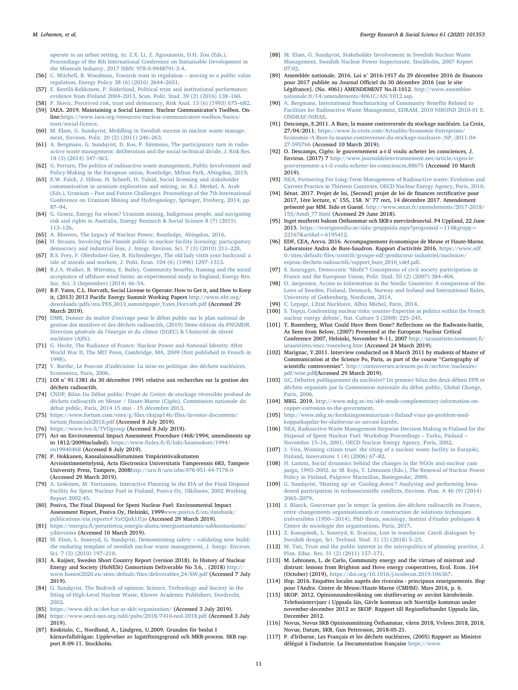[operate in an urban setting, in: Z.X. Li, Z. Agioutantis, D.H. Zou \(Eds.\),](http://refhub.elsevier.com/S2214-6296(19)30297-X/sbref0050) [Proceedings of the 8th International Conference on Sustainable Development in](http://refhub.elsevier.com/S2214-6296(19)30297-X/sbref0050) [the Minerals Industry, 2017 ISBN: 978-0-9948791-3-4.](http://refhub.elsevier.com/S2214-6296(19)30297-X/sbref0050)

- <span id="page-10-0"></span>[56] [C. Mitchell, B. Woodman, Towards trust in regulation](http://refhub.elsevier.com/S2214-6296(19)30297-X/sbref0051) – moving to a public value [regulation, Energy Policy 38 \(6\) \(2010\) 2644](http://refhub.elsevier.com/S2214-6296(19)30297-X/sbref0051)–2651.
- <span id="page-10-1"></span>[57] [E. Kestilä-Kekkonen, P. Söderlund, Political trust and institutional performance:](http://refhub.elsevier.com/S2214-6296(19)30297-X/sbref0052) evidence from Finland 2004–[2013, Scan. Polit. Stud. 39 \(2\) \(2016\) 138](http://refhub.elsevier.com/S2214-6296(19)30297-X/sbref0052)–160.
- <span id="page-10-3"></span><span id="page-10-2"></span>[58] [P. Slovic, Perceived risk, trust and democracy, Risk Anal. 13 \(6\) \(1993\) 675](http://refhub.elsevier.com/S2214-6296(19)30297-X/sbref0053)–682. [59] IAEA. 2019. Maintaining a Social Licence. Nuclear Communicator's Toolbox. Online[:https://www.iaea.org/resources/nuclear-communicators-toolbox/basics/](https://www.iaea.org/resources/nuclear-communicators-toolbox/basics/trust/social-licence)
- <span id="page-10-5"></span>[trust/social-licence.](https://www.iaea.org/resources/nuclear-communicators-toolbox/basics/trust/social-licence) [60] [M. Elam, G. Sundqvist, Meddling in Swedish success in nuclear waste manage](http://refhub.elsevier.com/S2214-6296(19)30297-X/sbref0054)[ment, Environ. Polit. 20 \(2\) \(2011\) 246](http://refhub.elsevier.com/S2214-6296(19)30297-X/sbref0054)–263.
- [61] [A. Bergmans, G. Sundqvist, D. Kos, P. Simmons, The participatory turn in radio](http://refhub.elsevier.com/S2214-6296(19)30297-X/sbref0055)[active waste management: deliberation and the social-technical divide, J. Risk Res.](http://refhub.elsevier.com/S2214-6296(19)30297-X/sbref0055) [18 \(3\) \(2014\) 347](http://refhub.elsevier.com/S2214-6296(19)30297-X/sbref0055)–363.
- [62] [G. Ferraro, The politics of radioactive waste management, Public Involvement and](http://refhub.elsevier.com/S2214-6296(19)30297-X/sbref0056) [Policy-Making in the European union, Routledge, Milton Park, Abingdon, 2019.](http://refhub.elsevier.com/S2214-6296(19)30297-X/sbref0056)
- <span id="page-10-4"></span>[63] [E.W. Falck, J. Hilton, H. Schnell, H. Tulsid, Social licensing and stakeholder](http://refhub.elsevier.com/S2214-6296(19)30297-X/sbref0057) [communication in uranium exploration and mining, in: B.J. Merkel, A. Arab](http://refhub.elsevier.com/S2214-6296(19)30297-X/sbref0057) (Eds.), Uranium – [Past and Future Challenges. Proceedings of the 7th International](http://refhub.elsevier.com/S2214-6296(19)30297-X/sbref0057) [Conference on Uranium Mining and Hydrogeology, Springer, Freiberg, 2014, pp.](http://refhub.elsevier.com/S2214-6296(19)30297-X/sbref0057) 87–[94.](http://refhub.elsevier.com/S2214-6296(19)30297-X/sbref0057)
- [64] [G. Graetz, Energy for whom? Uranium mining, Indigenous people, and navigating](http://refhub.elsevier.com/S2214-6296(19)30297-X/sbref0058) [risk and rights in Australia, Energy Research & Social Science 8 \(7\) \(2015\)](http://refhub.elsevier.com/S2214-6296(19)30297-X/sbref0058) 113–[126.](http://refhub.elsevier.com/S2214-6296(19)30297-X/sbref0058)
- <span id="page-10-6"></span>[65] [A. Blowers, The Legacy of Nuclear Power, Routledge, Abingdon, 2016.](http://refhub.elsevier.com/S2214-6296(19)30297-X/sbref0059)
- <span id="page-10-7"></span>[66] [H. Strauss, Involving the Finnish public in nuclear facility licensing: participatory](http://refhub.elsevier.com/S2214-6296(19)30297-X/sbref0060) [democracy and industrial bias, J. Integr. Environ. Sci. 7 \(3\) \(2010\) 211](http://refhub.elsevier.com/S2214-6296(19)30297-X/sbref0060)–228.
- <span id="page-10-8"></span>[67] [B.S. Frey, F. Oberholzer-Gee, R. Eichenberger, The old lady visits your backyard: a](http://refhub.elsevier.com/S2214-6296(19)30297-X/sbref0061) [tale of morals and markets, J. Polit. Econ. 104 \(6\) \(1996\) 1297](http://refhub.elsevier.com/S2214-6296(19)30297-X/sbref0061)–1313.
- <span id="page-10-9"></span>[68] [B.J.A. Walker, B. Wiersma, E. Bailey, Community bene](http://refhub.elsevier.com/S2214-6296(19)30297-X/sbref0062)fits, framing and the social acceptance of off[shore wind farms: an experimental study in England, Energy Res.](http://refhub.elsevier.com/S2214-6296(19)30297-X/sbref0062) [Soc. Sci. 3 \(September\) \(2014\) 46](http://refhub.elsevier.com/S2214-6296(19)30297-X/sbref0062)–54.
- <span id="page-10-10"></span>[69] B.F. Yates, C.L. Horvath, Social License to Operate: How to Get it, and How to Keep it, (2013) 2013 Pacific Energy Summit Working Papers [http://www.nbr.org/](http://www.nbr.org/downloads/pdfs/eta/PES_2013_summitpaper_Yates_Horvath.pdf) [downloads/pdfs/eta/PES\\_2013\\_summitpaper\\_Yates\\_Horvath.pdf](http://www.nbr.org/downloads/pdfs/eta/PES_2013_summitpaper_Yates_Horvath.pdf) (Accessed 29 March 2019).
- <span id="page-10-11"></span>[70] [DMR, Dossier du maître d'ouvrage pour le débat public sur le plan national de](http://refhub.elsevier.com/S2214-6296(19)30297-X/sbref0064) [gestion des matières et des déchets radioactifs, \(2019\) 5ème édition du PNGMDR.](http://refhub.elsevier.com/S2214-6296(19)30297-X/sbref0064) Direction générale de l'[énergie et du climat \(DGEC\) & l'Autorité de sûreté](http://refhub.elsevier.com/S2214-6296(19)30297-X/sbref0064) [nucléaire \(ASN\).](http://refhub.elsevier.com/S2214-6296(19)30297-X/sbref0064)
- <span id="page-10-12"></span>[71] [G. Hecht, The Radiance of France: Nuclear Power and National Identity After](http://refhub.elsevier.com/S2214-6296(19)30297-X/sbref0065) [World War II, The MIT Press, Cambridge, MA, 2009 \(](http://refhub.elsevier.com/S2214-6296(19)30297-X/sbref0065)first published in French in [1998\).](http://refhub.elsevier.com/S2214-6296(19)30297-X/sbref0065)
- <span id="page-10-13"></span>[72] [Y. Barthe, Le Pouvoir d'indécision: La mise en politique des déchets nucléaires,](http://refhub.elsevier.com/S2214-6296(19)30297-X/sbref0066) [Economica, Paris, 2006.](http://refhub.elsevier.com/S2214-6296(19)30297-X/sbref0066)
- <span id="page-10-14"></span>[73] LOI n° 91-1381 du 30 décembre 1991 relative aux recherches sur la gestion des déchets radioactifs.
- <span id="page-10-15"></span>[74] [CNDP, Bilan Du Débat public: Projet de Centre de stockage réversible profond de](http://refhub.elsevier.com/S2214-6296(19)30297-X/sbref0067) [déchets radioactifs en Meuse / Haute-Marne \(Cigéo\), Commission nationale du](http://refhub.elsevier.com/S2214-6296(19)30297-X/sbref0067) [débat public, Paris, 2014 15 mai - 15 décembre 2013.](http://refhub.elsevier.com/S2214-6296(19)30297-X/sbref0067)
- <span id="page-10-16"></span>[75] [https://www.fortum.com/sites/g/](https://www.fortum.com/sites/g/files/rkxjap146/files/investor-documents/fortum_financials2018.pdf)files/rkxjap146/files/investor-documents/ fortum\_fi[nancials2018.pdf](https://www.fortum.com/sites/g/files/rkxjap146/files/investor-documents/fortum_financials2018.pdf) (Accessed 8 July 2019).
- <span id="page-10-17"></span>[76] [https://www.tvo.](https://www.tvo.fi/TVOgroup)fi/TVOgroup (Accessed 8 July 2019).
- <span id="page-10-18"></span>[77] Act on Environmental Impact Assessment Procedure (468/1994; amendments up to 1812/2009included). https://www.finlex.fi/fi[/laki/kaannokset/1994/](https://www.finlex.fi/fi/laki/kaannokset/1994/en19940468) [en19940468](https://www.finlex.fi/fi/laki/kaannokset/1994/en19940468) (Accessed 8 July 2019).
- <span id="page-10-19"></span>[78] P. Hokkanen, Kansalaisosallistuminen Ympäristövaikutusten Arviointimenettelyssä, Acta Electronica Universitatis Tamperensis 683, Tampere University Press, Tampere, 2008http://urn.fi[/urn:isbn:978-951-44-7178-0](http://urn.fi/urn:isbn:978-951-44-7178-0) (Accessed 29 March 2019).
- <span id="page-10-20"></span>[79] [A. Leskinen, M. Turtiainen, Interactive Planning in the EIA of the Final Disposal](http://refhub.elsevier.com/S2214-6296(19)30297-X/sbref0069) [Facility for Spent Nuclear Fuel in Finland, Posiva Oy, Olkiluoto, 2002 Working](http://refhub.elsevier.com/S2214-6296(19)30297-X/sbref0069) [Report 2002-45.](http://refhub.elsevier.com/S2214-6296(19)30297-X/sbref0069)
- <span id="page-10-21"></span>[80] Posiva, The Final Disposal for Spent Nuclear Fuel: Environmental Impact Assessment Report, Posiva Oy, Helsinki, 1999www.posiva.fi[/en/databank/](http://www.posiva.fi/en/databank/publications/eia_reports#.VzCQak1f1jo) [publications/eia\\_reports#.VzCQak1f1jo](http://www.posiva.fi/en/databank/publications/eia_reports#.VzCQak1f1jo) (Accessed 29 March 2019).
- <span id="page-10-22"></span>[81] https://energia.fi[/perustietoa\\_energia-alasta/energiantuotanto/sahkontuotanto/](https://energia.fi/perustietoa_energia-alasta/energiantuotanto/sahkontuotanto/ydinvoima) [ydinvoima](https://energia.fi/perustietoa_energia-alasta/energiantuotanto/sahkontuotanto/ydinvoima) (Accessed 10 March 2019).
- <span id="page-10-23"></span>[82] [M. Elam, L. Soneryd, G. Sundqvist, Demonstrating safety](http://refhub.elsevier.com/S2214-6296(19)30297-X/sbref0071) – validating new build: [the enduring template of swedish nuclear waste management, J. Integr. Environ.](http://refhub.elsevier.com/S2214-6296(19)30297-X/sbref0071) [Sci. 7 \(3\) \(2010\) 197](http://refhub.elsevier.com/S2214-6296(19)30297-X/sbref0071)–210.
- <span id="page-10-24"></span>[83] A. Kaijser, Sweden Short Country Report (version 2018). In History of Nuclear Energy and Society (HoNESt) Consortium Deliverable No 3.6, . (2018) http: [www.honest2020.eu/sites/default/](http://www.honest2020.eu/sites/default/files/deliverables_24/SW.pdf)files/deliverables\_24/SW.pdf (Accessed 7 July 2019).
- <span id="page-10-25"></span>[84] [G. Sundqvist, The Bedrock of opinion: Science, Technology and Society in the](http://refhub.elsevier.com/S2214-6296(19)30297-X/sbref0073) [Siting of High-Level Nuclear Waste, Kluwer Academic Publishers, Dordrecht,](http://refhub.elsevier.com/S2214-6296(19)30297-X/sbref0073) [2002.](http://refhub.elsevier.com/S2214-6296(19)30297-X/sbref0073)
- <span id="page-10-26"></span>[85] <https://www.skb.se/det-har-ar-skb/organisation/> (Accessed 3 July 2019).
- <span id="page-10-27"></span>[86] <https://www.oecd-nea.org/ndd/pubs/2018/7416-ned-2018.pdf> (Accessed 3 July 2019).
- <span id="page-10-28"></span>[87] Keskitalo, C., Nordlund, A., Lindgren, U.2009. Grunden för beslut I kärnavfallsfrågan: Upplevelser av lagstiftningsgrund och MKB-process. SKB rapport R-09-11. Stockholm.
- <span id="page-10-29"></span>[88] [M. Elam, G. Sundqvist, Stakeholder Involvement in Swedish Nuclear Waste](http://refhub.elsevier.com/S2214-6296(19)30297-X/sbref0074) [Management, Swedish Nuclear Power Inspectorate, Stockholm, 2007 Report](http://refhub.elsevier.com/S2214-6296(19)30297-X/sbref0074)  $07.02$
- <span id="page-10-30"></span>[89] Assemblée nationale. 2016. Loi n° 2016-1917 du 29 décembre 2016 de finances pour 2017 publiée au Journal Officiel du 30 décembre 2016 [sur le site Légifrance]. (No. 4061) AMENDEMENT No.II-1012. [http://www.assemblee](http://www.assemblee-nationale.fr/14/amendements/4061C/AN/1012.asp)[nationale.fr/14/amendements/4061C/AN/1012.asp.](http://www.assemblee-nationale.fr/14/amendements/4061C/AN/1012.asp)
- <span id="page-10-31"></span>[90] [A. Bergmans, International Benchmarking of Community Bene](http://refhub.elsevier.com/S2214-6296(19)30297-X/sbref0075)fits Related to [Facilities for Radioactive Waste Management, EDRAM, 2010 NIROND 2010-01 E.](http://refhub.elsevier.com/S2214-6296(19)30297-X/sbref0075) [ONDRAF/NIRAS.](http://refhub.elsevier.com/S2214-6296(19)30297-X/sbref0075)
- <span id="page-10-32"></span>[91] Descamps, E.2011. A Bure, la manne controversée du stockage nucléaire. La Croix, 27/04/2011. [https://www.la-croix.com/Actualite/Economie-Entreprises/](https://www.la-croix.com/Actualite/Economie-Entreprises/Economie/A-Bure-la-manne-controversee-du-stockage-nucleaire-_NP_-2011-04-27-595766) [Economie/A-Bure-la-manne-controversee-du-stockage-nucleaire-\\_NP\\_-2011-04-](https://www.la-croix.com/Actualite/Economie-Entreprises/Economie/A-Bure-la-manne-controversee-du-stockage-nucleaire-_NP_-2011-04-27-595766) [27-595766](https://www.la-croix.com/Actualite/Economie-Entreprises/Economie/A-Bure-la-manne-controversee-du-stockage-nucleaire-_NP_-2011-04-27-595766) (Accessed 10 March 2019).
- <span id="page-10-33"></span>[92] O. Descamps, Cigéo: le gouvernement a-t-il voulu acheter les consciences, J. Environ. (2017) 7 [http://www.journaldelenvironnement.net/article/cigeo-le](http://www.journaldelenvironnement.net/article/cigeo-le-gouvernement-a-t-il-voulu-acheter-les-consciences,88675)[gouvernement-a-t-il-voulu-acheter-les-consciences,88675](http://www.journaldelenvironnement.net/article/cigeo-le-gouvernement-a-t-il-voulu-acheter-les-consciences,88675) (Accessed 10 March 2019).
- <span id="page-10-34"></span>[93] [NEA, Partnering For Long-Term Management of Radioactive waste: Evolution and](http://refhub.elsevier.com/S2214-6296(19)30297-X/sbref0077) [Current Practice in Thirteen Countries, OECD Nuclear Energy Agency, Paris, 2010.](http://refhub.elsevier.com/S2214-6296(19)30297-X/sbref0077)
- <span id="page-10-35"></span>[94] Sénat. 2017. Projet de loi, [Second] projet de loi de finances rectificative pour 2017, 1ère lecture, n° 155, 158. N° 77 rect, 14 décembre 2017. Amendement présenté par MM. Sido et Guené. [http://www.senat.fr/amendements/2017-2018/](http://www.senat.fr/amendements/2017-2018/155/Amdt_77.html) [155/Amdt\\_77.html](http://www.senat.fr/amendements/2017-2018/155/Amdt_77.html) (Accessed 29 June 2018).
- <span id="page-10-36"></span>[95] Inget mutbrott bakom Östhammar och SKB:s mervärdesavtal. P4 Uppland, 22 June 2015. [https://sverigesradio.se/sida/gruppsida.aspx?programid=114&grupp=](https://sverigesradio.se/sida/gruppsida.aspx?programid=114&grupp=22167&artikel=6195412) [22167&artikel=6195412.](https://sverigesradio.se/sida/gruppsida.aspx?programid=114&grupp=22167&artikel=6195412)
- <span id="page-10-37"></span>[96] EDF, CEA, Areva. 2016. Accompagnement économique de Meuse et Haute-Marne. Laboratoire Andra de Bure-Saudron. Rapport d'activités 2016. [https://www.edf.](https://www.edf.fr/sites/default/files/contrib/groupe-edf/producteur-industriel/nucleaire/enjeux/dechets-radioactifs/rapport_bure_2016_vdef.pdf) fr/sites/default/fi[les/contrib/groupe-edf/producteur-industriel/nucleaire/](https://www.edf.fr/sites/default/files/contrib/groupe-edf/producteur-industriel/nucleaire/enjeux/dechets-radioactifs/rapport_bure_2016_vdef.pdf) [enjeux/dechets-radioactifs/rapport\\_bure\\_2016\\_vdef.pdf](https://www.edf.fr/sites/default/files/contrib/groupe-edf/producteur-industriel/nucleaire/enjeux/dechets-radioactifs/rapport_bure_2016_vdef.pdf).
- <span id="page-10-38"></span>[97] S. Saurugger, Democratic 'Misfit'[? Conceptions of civil society participation in](http://refhub.elsevier.com/S2214-6296(19)30297-X/sbref0078) [France and the European Union, Polit. Stud. 55 \(2\) \(2007\) 384](http://refhub.elsevier.com/S2214-6296(19)30297-X/sbref0078)-404.
- <span id="page-10-39"></span>[98] [O. Jørgensen, Access to Information in the Nordic Countries: A comparison of the](http://refhub.elsevier.com/S2214-6296(19)30297-X/sbref0079) [Laws of Sweden, Finland, Denmark, Norway and Iceland and International Rules,](http://refhub.elsevier.com/S2214-6296(19)30297-X/sbref0079) [University of Gothenburg, Nordicom, 2014.](http://refhub.elsevier.com/S2214-6296(19)30297-X/sbref0079)
- <span id="page-10-40"></span>[99] [C. Lepage, L'Etat Nucléaire, Albin Michel, Paris, 2014.](http://refhub.elsevier.com/S2214-6296(19)30297-X/sbref0080)
- <span id="page-10-41"></span>[100] [S. Topçu, Confronting nuclear risks: counter-Expertise as politics within the French](http://refhub.elsevier.com/S2214-6296(19)30297-X/sbref0081) nuclear energy debate'[, Nat. Culture 3 \(2008\) 225](http://refhub.elsevier.com/S2214-6296(19)30297-X/sbref0081)–245.
- <span id="page-10-42"></span>[101] T. Rosenberg, What Could Have Been Done? Reflections on the Radwaste-battle, As Seen from Below, (2007) Presented at the European Nuclear Critical Conference 2007, Helsinki, November 9–11, 2007 [http://uraanitieto.tormunet.](http://uraanitieto.tormunet.fi/uraanitieto/encc/rosenberg.htm)fi/ [uraanitieto/encc/rosenberg.htm](http://uraanitieto.tormunet.fi/uraanitieto/encc/rosenberg.htm) (Accessed 24 March 2019).
- <span id="page-10-43"></span>[102] Marignac, Y.2011. Interview conducted on 8 March 2011 by students of Master of Communication at the Science Po, Paris, as part of the course "Cartography of scientific controversies". [http://controverses.sciences-po.fr/archive/nucleaire/](http://controverses.sciences-po.fr/archive/nucleaire/pdf/wise.pdf) [pdf/wise.pdf\(](http://controverses.sciences-po.fr/archive/nucleaire/pdf/wise.pdf)Accessed 29 March 2019).
- <span id="page-10-44"></span>[103] [GC, Débattre publiquement du nucléaire? Un premier bilan des deux débats EPR et](http://refhub.elsevier.com/S2214-6296(19)30297-X/sbref0083) [déchets organisés par la Commission nationale du débat public, Global Change,](http://refhub.elsevier.com/S2214-6296(19)30297-X/sbref0083) [Paris, 2006.](http://refhub.elsevier.com/S2214-6296(19)30297-X/sbref0083)
- <span id="page-10-45"></span>[104] MKG. 2019. [http://www.mkg.se/en/skb-sends-complementary-information-on](http://www.mkg.se/en/skb-sends-complementary-information-on-copper-corrosion-to-the-government)[copper-corrosion-to-the-government.](http://www.mkg.se/en/skb-sends-complementary-information-on-copper-corrosion-to-the-government)
- <span id="page-10-46"></span>[105] [http://www.mkg.se/forskningsseminarium-i-](http://www.mkg.se/forskningsseminarium-i-finland-visar-pa-problem-med-kopparkapslar-for-slutforvar-av-anvant-karnbr)finland-visar-pa-problem-med[kopparkapslar-for-slutforvar-av-anvant-karnbr](http://www.mkg.se/forskningsseminarium-i-finland-visar-pa-problem-med-kopparkapslar-for-slutforvar-av-anvant-karnbr).
- <span id="page-10-47"></span>[106] [NEA, Radioactive Waste Management Stepwise Decision Making in Finland for the](http://refhub.elsevier.com/S2214-6296(19)30297-X/sbref0084) [Disposal of Spent Nuclear Fuel: Workshop Proceedings](http://refhub.elsevier.com/S2214-6296(19)30297-X/sbref0084) – Turku, Finland – November 15–[16, 2001, OECD Nuclear Energy Agency, Paris, 2002.](http://refhub.elsevier.com/S2214-6296(19)30297-X/sbref0084)
- <span id="page-10-48"></span>[107] [J. Vira, Winning citizen trust: the siting of a nuclear waste facility in Eurajoki,](http://refhub.elsevier.com/S2214-6296(19)30297-X/sbref0085) [Finland, Innovations 1 \(4\) \(2006\) 67](http://refhub.elsevier.com/S2214-6296(19)30297-X/sbref0085)–82.
- [108] [H. Lammi, Social dynamics behind the changes in the NGOs anti-nuclear cam](http://refhub.elsevier.com/S2214-6296(19)30297-X/sbref0086)paign, 1993–[2002. in: M. Kojo, T. Litmanen \(Eds.\), The Renewal of Nuclear Power](http://refhub.elsevier.com/S2214-6296(19)30297-X/sbref0086) [Policy in Finland, Palgrave Macmillan, Basingstoke, 2009.](http://refhub.elsevier.com/S2214-6296(19)30297-X/sbref0086)
- [109] G. Sundqvist, 'Heating up' or 'Cooling down'[? Analysing and performing broa](http://refhub.elsevier.com/S2214-6296(19)30297-X/sbref0087)[dened participation in technoscienti](http://refhub.elsevier.com/S2214-6296(19)30297-X/sbref0087)fic conflicts, Environ. Plan. A 46 (9) (2014) 2065–[2079.](http://refhub.elsevier.com/S2214-6296(19)30297-X/sbref0087)
- <span id="page-10-49"></span>[110] [J. Blanck, Gouverner par le temps: la gestion des déchets radioactifs en France,](http://refhub.elsevier.com/S2214-6296(19)30297-X/sbref0088) [entre changements organisationnels et construction de solutions techniques](http://refhub.elsevier.com/S2214-6296(19)30297-X/sbref0088) irréversibles (1950-–[2014\), PhD thesis, sociology, Institut d](http://refhub.elsevier.com/S2214-6296(19)30297-X/sbref0088)'études politiques & [Centre de sociologie des organisations, Paris, 2017.](http://refhub.elsevier.com/S2214-6296(19)30297-X/sbref0088)
- <span id="page-10-50"></span>[111] [Z. Konopásek, L. Soneryd, K. Svacina, Lost in translation: Czech dialogues by](http://refhub.elsevier.com/S2214-6296(19)30297-X/sbref0089) [Swedish design, Sci. Technol. Stud. 31 \(3\) \(2018\) 5](http://refhub.elsevier.com/S2214-6296(19)30297-X/sbref0089)–23.
- <span id="page-10-51"></span>[112] [M. Tait, Trust and the public interest in the micropolitics of planning practice, J.](http://refhub.elsevier.com/S2214-6296(19)30297-X/sbref0090) [Plan. Educ. Res. 31 \(2\) \(2011\) 157](http://refhub.elsevier.com/S2214-6296(19)30297-X/sbref0090)–171.
- <span id="page-10-52"></span>[113] M. Lehtonen, L. de Carlo, Community energy and the virtues of mistrust and distrust: lessons from Brighton and Hove energy cooperatives, Ecol. Econ. 164 (October) (2019), [https://doi.org/10.1016/j.ecolecon.2019.106367.](https://doi.org/10.1016/j.ecolecon.2019.106367)
- <span id="page-10-54"></span>[114] Ifop. 2016. Enquêtes locales auprès des riverains - principaux enseignements. Ifop pour l'Andra. Centre de Meuse/Haute-Marne (CMHM). Mars 2016, p. 6.
- [115] SKOP. 2012. Opinionsundersökning om slutförvaring av använt kärnbränsle. Telefonintervjuer i Uppsala län, Gävle kommun och Norrtälje kommun under november-december 2012 av SKOP. Rapport till Regionförbundet Uppsala län, December 2012.
- [116] Novus, Novus SKB Opinionsmätning Östhammar, våren 2018, Vvåren 2018, 2018, Novus; Datum, SKB, Gun Pettersson, 2018-05-21.
- <span id="page-10-53"></span>[117] P. d'Iribarne, Les Français et les déchets nucléaires, (2005) Rapport au Ministre délégué à l'industrie. La Documentation française [https://www.](https://www.ladocumentationfrancaise.fr/var/storage/rapports-publics/054000355.pdf)

11